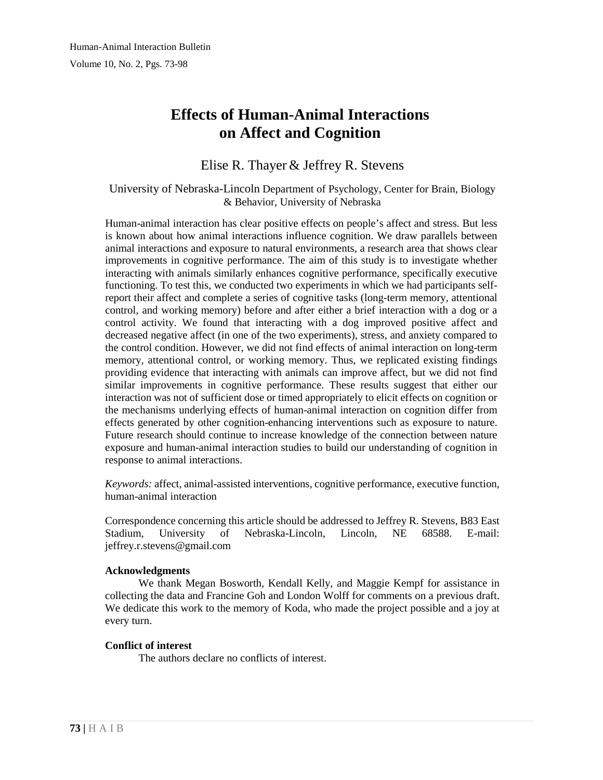# **Effects of Human-Animal Interactions on Affect and Cognition**

# Elise R. Thayer & Jeffrey R. Stevens

#### University of Nebraska-Lincoln Department of Psychology, Center for Brain, Biology & Behavior, University of Nebraska

Human-animal interaction has clear positive effects on people's affect and stress. But less is known about how animal interactions influence cognition. We draw parallels between animal interactions and exposure to natural environments, a research area that shows clear improvements in cognitive performance. The aim of this study is to investigate whether interacting with animals similarly enhances cognitive performance, specifically executive functioning. To test this, we conducted two experiments in which we had participants selfreport their affect and complete a series of cognitive tasks (long-term memory, attentional control, and working memory) before and after either a brief interaction with a dog or a control activity. We found that interacting with a dog improved positive affect and decreased negative affect (in one of the two experiments), stress, and anxiety compared to the control condition. However, we did not find effects of animal interaction on long-term memory, attentional control, or working memory. Thus, we replicated existing findings providing evidence that interacting with animals can improve affect, but we did not find similar improvements in cognitive performance. These results suggest that either our interaction was not of sufficient dose or timed appropriately to elicit effects on cognition or the mechanisms underlying effects of human-animal interaction on cognition differ from effects generated by other cognition-enhancing interventions such as exposure to nature. Future research should continue to increase knowledge of the connection between nature exposure and human-animal interaction studies to build our understanding of cognition in response to animal interactions.

*Keywords:* affect, animal-assisted interventions, cognitive performance, executive function, human-animal interaction

Correspondence concerning this article should be addressed to Jeffrey R. Stevens, B83 East Stadium, University of Nebraska-Lincoln, Lincoln, NE 68588. E-mail: [jeffrey.r.stevens@gmail.com](mailto:jeffrey.r.stevens@gmail.com)

#### **Acknowledgments**

We thank Megan Bosworth, Kendall Kelly, and Maggie Kempf for assistance in collecting the data and Francine Goh and London Wolff for comments on a previous draft. We dedicate this work to the memory of Koda, who made the project possible and a joy at every turn.

#### **Conflict of interest**

The authors declare no conflicts of interest.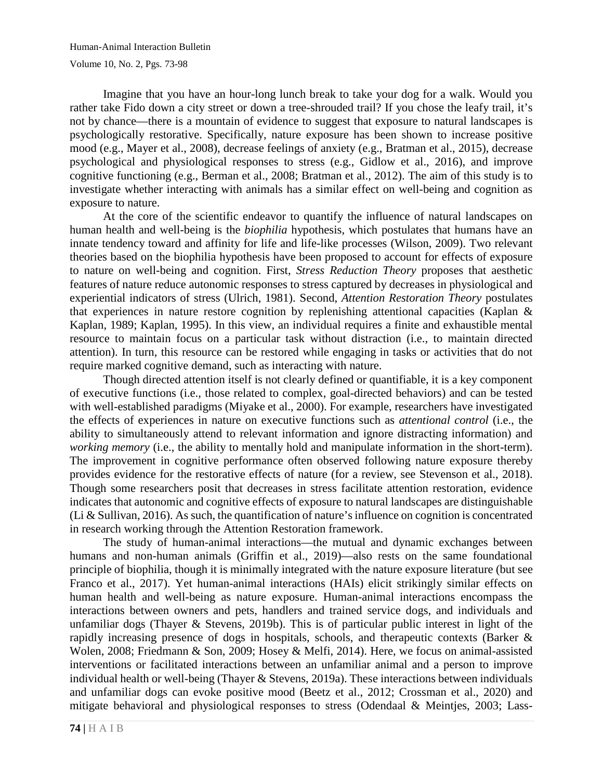Imagine that you have an hour-long lunch break to take your dog for a walk. Would you rather take Fido down a city street or down a tree-shrouded trail? If you chose the leafy trail, it's not by chance—there is a mountain of evidence to suggest that exposure to natural landscapes is psychologically restorative. Specifically, nature exposure has been shown to increase positive mood (e.g., Mayer et al., 2008), decrease feelings of anxiety (e.g., Bratman et al., 2015), decrease psychological and physiological responses to stress (e.g., Gidlow et al., 2016), and improve cognitive functioning (e.g., Berman et al., 2008; Bratman et al., 2012). The aim of this study is to investigate whether interacting with animals has a similar effect on well-being and cognition as exposure to nature.

At the core of the scientific endeavor to quantify the influence of natural landscapes on human health and well-being is the *biophilia* hypothesis, which postulates that humans have an innate tendency toward and affinity for life and life-like processes (Wilson, 2009). Two relevant theories based on the biophilia hypothesis have been proposed to account for effects of exposure to nature on well-being and cognition. First, *Stress Reduction Theory* proposes that aesthetic features of nature reduce autonomic responses to stress captured by decreases in physiological and experiential indicators of stress (Ulrich, 1981). Second, *Attention Restoration Theory* postulates that experiences in nature restore cognition by replenishing attentional capacities (Kaplan & Kaplan, 1989; Kaplan, 1995). In this view, an individual requires a finite and exhaustible mental resource to maintain focus on a particular task without distraction (i.e., to maintain directed attention). In turn, this resource can be restored while engaging in tasks or activities that do not require marked cognitive demand, such as interacting with nature.

Though directed attention itself is not clearly defined or quantifiable, it is a key component of executive functions (i.e., those related to complex, goal-directed behaviors) and can be tested with well-established paradigms (Miyake et al., 2000). For example, researchers have investigated the effects of experiences in nature on executive functions such as *attentional control* (i.e., the ability to simultaneously attend to relevant information and ignore distracting information) and *working memory* (i.e., the ability to mentally hold and manipulate information in the short-term). The improvement in cognitive performance often observed following nature exposure thereby provides evidence for the restorative effects of nature (for a review, see Stevenson et al., 2018). Though some researchers posit that decreases in stress facilitate attention restoration, evidence indicates that autonomic and cognitive effects of exposure to natural landscapes are distinguishable (Li & Sullivan, 2016). As such, the quantification of nature's influence on cognition is concentrated in research working through the Attention Restoration framework.

The study of human-animal interactions—the mutual and dynamic exchanges between humans and non-human animals (Griffin et al., 2019)—also rests on the same foundational principle of biophilia, though it is minimally integrated with the nature exposure literature (but see Franco et al., 2017). Yet human-animal interactions (HAIs) elicit strikingly similar effects on human health and well-being as nature exposure. Human-animal interactions encompass the interactions between owners and pets, handlers and trained service dogs, and individuals and unfamiliar dogs (Thayer & Stevens, 2019b). This is of particular public interest in light of the rapidly increasing presence of dogs in hospitals, schools, and therapeutic contexts (Barker & Wolen, 2008; Friedmann & Son, 2009; Hosey & Melfi, 2014). Here, we focus on animal-assisted interventions or facilitated interactions between an unfamiliar animal and a person to improve individual health or well-being (Thayer & Stevens, 2019a). These interactions between individuals and unfamiliar dogs can evoke positive mood (Beetz et al., 2012; Crossman et al., 2020) and mitigate behavioral and physiological responses to stress (Odendaal & Meintjes, 2003; Lass-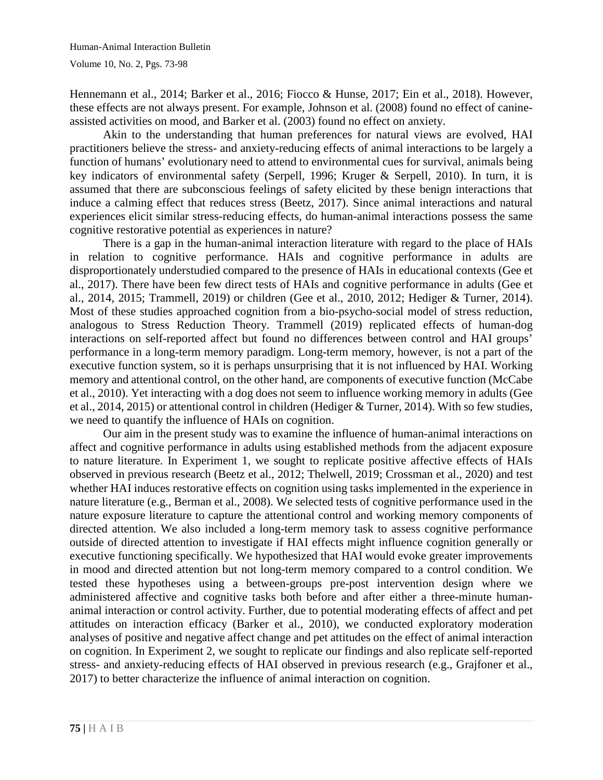Hennemann et al., 2014; Barker et al., 2016; Fiocco & Hunse, 2017; Ein et al., 2018). However, these effects are not always present. For example, Johnson et al. (2008) found no effect of canineassisted activities on mood, and Barker et al. (2003) found no effect on anxiety.

Akin to the understanding that human preferences for natural views are evolved, HAI practitioners believe the stress- and anxiety-reducing effects of animal interactions to be largely a function of humans' evolutionary need to attend to environmental cues for survival, animals being key indicators of environmental safety (Serpell, 1996; Kruger & Serpell, 2010). In turn, it is assumed that there are subconscious feelings of safety elicited by these benign interactions that induce a calming effect that reduces stress (Beetz, 2017). Since animal interactions and natural experiences elicit similar stress-reducing effects, do human-animal interactions possess the same cognitive restorative potential as experiences in nature?

There is a gap in the human-animal interaction literature with regard to the place of HAIs in relation to cognitive performance. HAIs and cognitive performance in adults are disproportionately understudied compared to the presence of HAIs in educational contexts (Gee et al., 2017). There have been few direct tests of HAIs and cognitive performance in adults (Gee et al., 2014, 2015; Trammell, 2019) or children (Gee et al., 2010, 2012; Hediger & Turner, 2014). Most of these studies approached cognition from a bio-psycho-social model of stress reduction, analogous to Stress Reduction Theory. Trammell (2019) replicated effects of human-dog interactions on self-reported affect but found no differences between control and HAI groups' performance in a long-term memory paradigm. Long-term memory, however, is not a part of the executive function system, so it is perhaps unsurprising that it is not influenced by HAI. Working memory and attentional control, on the other hand, are components of executive function (McCabe et al., 2010). Yet interacting with a dog does not seem to influence working memory in adults (Gee et al., 2014, 2015) or attentional control in children (Hediger & Turner, 2014). With so few studies, we need to quantify the influence of HAIs on cognition.

Our aim in the present study was to examine the influence of human-animal interactions on affect and cognitive performance in adults using established methods from the adjacent exposure to nature literature. In Experiment 1, we sought to replicate positive affective effects of HAIs observed in previous research (Beetz et al., 2012; Thelwell, 2019; Crossman et al., 2020) and test whether HAI induces restorative effects on cognition using tasks implemented in the experience in nature literature (e.g., Berman et al., 2008). We selected tests of cognitive performance used in the nature exposure literature to capture the attentional control and working memory components of directed attention. We also included a long-term memory task to assess cognitive performance outside of directed attention to investigate if HAI effects might influence cognition generally or executive functioning specifically. We hypothesized that HAI would evoke greater improvements in mood and directed attention but not long-term memory compared to a control condition. We tested these hypotheses using a between-groups pre-post intervention design where we administered affective and cognitive tasks both before and after either a three-minute humananimal interaction or control activity. Further, due to potential moderating effects of affect and pet attitudes on interaction efficacy (Barker et al., 2010), we conducted exploratory moderation analyses of positive and negative affect change and pet attitudes on the effect of animal interaction on cognition. In Experiment 2, we sought to replicate our findings and also replicate self-reported stress- and anxiety-reducing effects of HAI observed in previous research (e.g., Grajfoner et al., 2017) to better characterize the influence of animal interaction on cognition.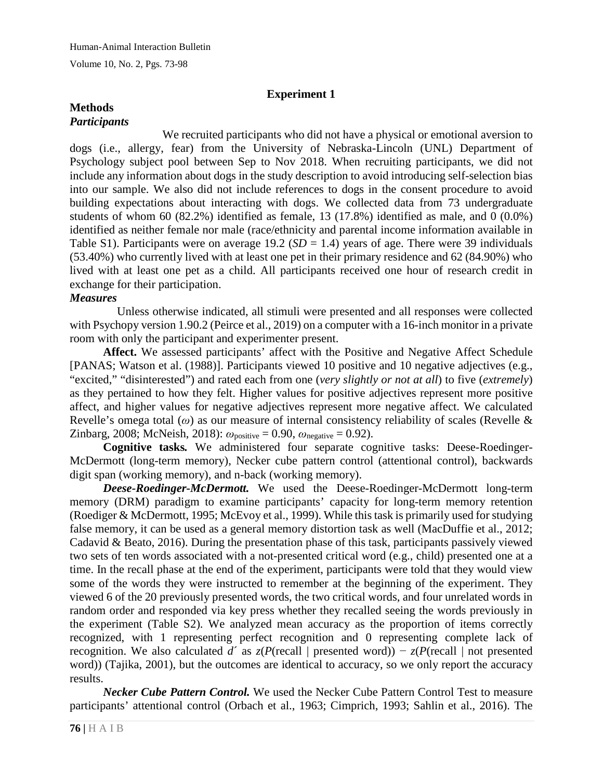## **Experiment 1**

#### **Methods** *Participants*

We recruited participants who did not have a physical or emotional aversion to dogs (i.e., allergy, fear) from the University of Nebraska-Lincoln (UNL) Department of Psychology subject pool between Sep to Nov 2018. When recruiting participants, we did not include any information about dogs in the study description to avoid introducing self-selection bias into our sample. We also did not include references to dogs in the consent procedure to avoid building expectations about interacting with dogs. We collected data from 73 undergraduate students of whom 60 (82.2%) identified as female, 13 (17.8%) identified as male, and 0 (0.0%) identified as neither female nor male (race/ethnicity and parental income information available in Table S1). Participants were on average 19.2 ( $SD = 1.4$ ) years of age. There were 39 individuals (53.40%) who currently lived with at least one pet in their primary residence and 62 (84.90%) who lived with at least one pet as a child. All participants received one hour of research credit in exchange for their participation.

## *Measures*

Unless otherwise indicated, all stimuli were presented and all responses were collected with Psychopy version 1.90.2 (Peirce et al., 2019) on a computer with a 16-inch monitor in a private room with only the participant and experimenter present.

**Affect.** We assessed participants' affect with the Positive and Negative Affect Schedule [PANAS; Watson et al. (1988)]. Participants viewed 10 positive and 10 negative adjectives (e.g., "excited," "disinterested") and rated each from one (*very slightly or not at all*) to five (*extremely*) as they pertained to how they felt. Higher values for positive adjectives represent more positive affect, and higher values for negative adjectives represent more negative affect. We calculated Revelle's omega total (*ω*) as our measure of internal consistency reliability of scales (Revelle & Zinbarg, 2008; McNeish, 2018): *ω*positive = 0.90, *ω*negative = 0.92).

**Cognitive tasks***.* We administered four separate cognitive tasks: Deese-Roedinger-McDermott (long-term memory), Necker cube pattern control (attentional control), backwards digit span (working memory), and n-back (working memory).

*Deese-Roedinger-McDermott.* We used the Deese-Roedinger-McDermott long-term memory (DRM) paradigm to examine participants' capacity for long-term memory retention (Roediger & McDermott, 1995; McEvoy et al., 1999). While this task is primarily used for studying false memory, it can be used as a general memory distortion task as well (MacDuffie et al., 2012; Cadavid & Beato, 2016). During the presentation phase of this task, participants passively viewed two sets of ten words associated with a not-presented critical word (e.g., child) presented one at a time. In the recall phase at the end of the experiment, participants were told that they would view some of the words they were instructed to remember at the beginning of the experiment. They viewed 6 of the 20 previously presented words, the two critical words, and four unrelated words in random order and responded via key press whether they recalled seeing the words previously in the experiment (Table S2). We analyzed mean accuracy as the proportion of items correctly recognized, with 1 representing perfect recognition and 0 representing complete lack of recognition. We also calculated *d*<sup> $\alpha$ </sup> as  $z(P(\text{recall} | \text{presented word})) - z(P(\text{recall} | \text{not presented}))$ word)) (Tajika, 2001), but the outcomes are identical to accuracy, so we only report the accuracy results.

*Necker Cube Pattern Control.* We used the Necker Cube Pattern Control Test to measure participants' attentional control (Orbach et al., 1963; Cimprich, 1993; Sahlin et al., 2016). The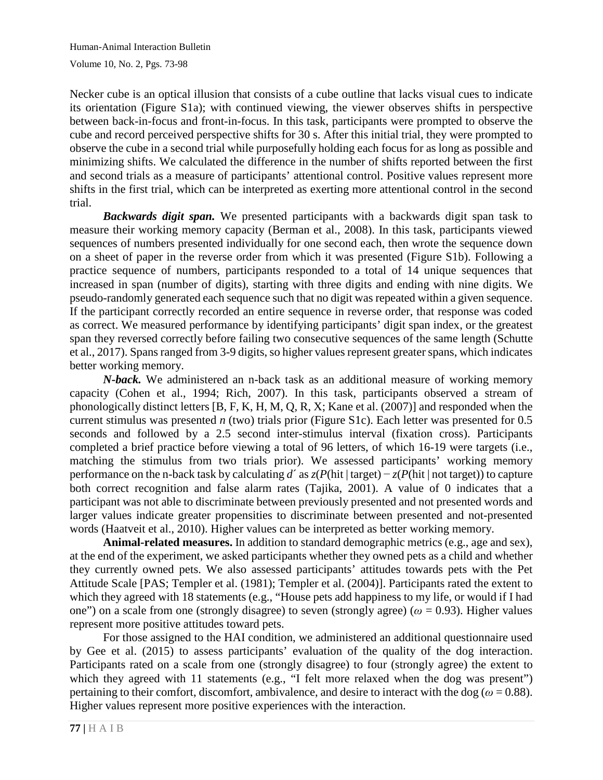Necker cube is an optical illusion that consists of a cube outline that lacks visual cues to indicate its orientation (Figure S1a); with continued viewing, the viewer observes shifts in perspective between back-in-focus and front-in-focus. In this task, participants were prompted to observe the cube and record perceived perspective shifts for 30 s. After this initial trial, they were prompted to observe the cube in a second trial while purposefully holding each focus for as long as possible and minimizing shifts. We calculated the difference in the number of shifts reported between the first and second trials as a measure of participants' attentional control. Positive values represent more shifts in the first trial, which can be interpreted as exerting more attentional control in the second trial.

*Backwards digit span.* We presented participants with a backwards digit span task to measure their working memory capacity (Berman et al., 2008). In this task, participants viewed sequences of numbers presented individually for one second each, then wrote the sequence down on a sheet of paper in the reverse order from which it was presented (Figure S1b). Following a practice sequence of numbers, participants responded to a total of 14 unique sequences that increased in span (number of digits), starting with three digits and ending with nine digits. We pseudo-randomly generated each sequence such that no digit was repeated within a given sequence. If the participant correctly recorded an entire sequence in reverse order, that response was coded as correct. We measured performance by identifying participants' digit span index, or the greatest span they reversed correctly before failing two consecutive sequences of the same length (Schutte et al., 2017). Spans ranged from 3-9 digits, so higher values represent greater spans, which indicates better working memory.

*N-back.* We administered an n-back task as an additional measure of working memory capacity (Cohen et al., 1994; Rich, 2007). In this task, participants observed a stream of phonologically distinct letters [B, F, K, H, M, Q, R, X; Kane et al. (2007)] and responded when the current stimulus was presented *n* (two) trials prior (Figure S1c). Each letter was presented for 0.5 seconds and followed by a 2.5 second inter-stimulus interval (fixation cross). Participants completed a brief practice before viewing a total of 96 letters, of which 16-19 were targets (i.e., matching the stimulus from two trials prior). We assessed participants' working memory performance on the n-back task by calculating  $d'$  as  $z(P(\text{hit} \mid \text{target}) - z(P(\text{hit} \mid \text{not target}))$  to capture both correct recognition and false alarm rates (Tajika, 2001). A value of 0 indicates that a participant was not able to discriminate between previously presented and not presented words and larger values indicate greater propensities to discriminate between presented and not-presented words (Haatveit et al., 2010). Higher values can be interpreted as better working memory.

**Animal-related measures.** In addition to standard demographic metrics (e.g., age and sex), at the end of the experiment, we asked participants whether they owned pets as a child and whether they currently owned pets. We also assessed participants' attitudes towards pets with the Pet Attitude Scale [PAS; Templer et al. (1981); Templer et al. (2004)]. Participants rated the extent to which they agreed with 18 statements (e.g., "House pets add happiness to my life, or would if I had one") on a scale from one (strongly disagree) to seven (strongly agree) (*ω* = 0.93). Higher values represent more positive attitudes toward pets.

For those assigned to the HAI condition, we administered an additional questionnaire used by Gee et al. (2015) to assess participants' evaluation of the quality of the dog interaction. Participants rated on a scale from one (strongly disagree) to four (strongly agree) the extent to which they agreed with 11 statements (e.g., "I felt more relaxed when the dog was present") pertaining to their comfort, discomfort, ambivalence, and desire to interact with the dog ( $\omega = 0.88$ ). Higher values represent more positive experiences with the interaction.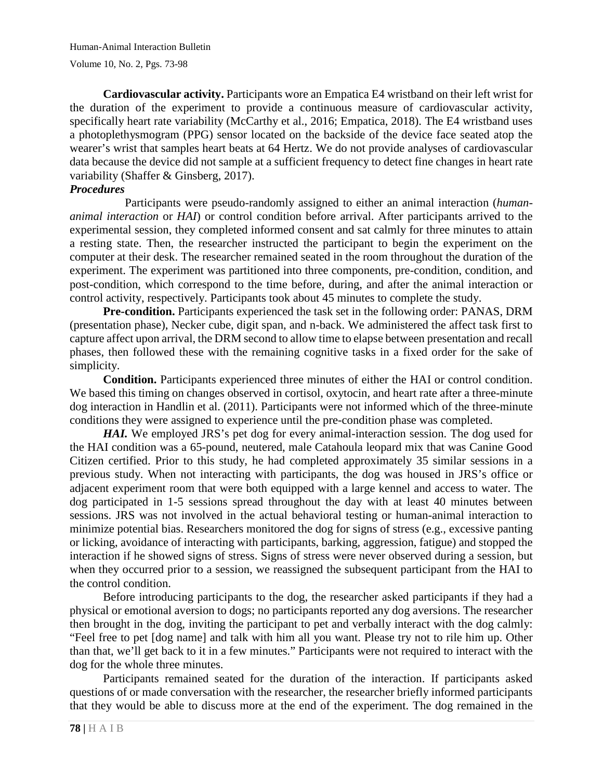**Cardiovascular activity.** Participants wore an Empatica E4 wristband on their left wrist for the duration of the experiment to provide a continuous measure of cardiovascular activity, specifically heart rate variability (McCarthy et al., 2016; Empatica, 2018). The E4 wristband uses a photoplethysmogram (PPG) sensor located on the backside of the device face seated atop the wearer's wrist that samples heart beats at 64 Hertz. We do not provide analyses of cardiovascular data because the device did not sample at a sufficient frequency to detect fine changes in heart rate variability (Shaffer & Ginsberg, 2017).

## *Procedures*

Participants were pseudo-randomly assigned to either an animal interaction (*humananimal interaction* or *HAI*) or control condition before arrival. After participants arrived to the experimental session, they completed informed consent and sat calmly for three minutes to attain a resting state. Then, the researcher instructed the participant to begin the experiment on the computer at their desk. The researcher remained seated in the room throughout the duration of the experiment. The experiment was partitioned into three components, pre-condition, condition, and post-condition, which correspond to the time before, during, and after the animal interaction or control activity, respectively. Participants took about 45 minutes to complete the study.

**Pre-condition.** Participants experienced the task set in the following order: PANAS, DRM (presentation phase), Necker cube, digit span, and n-back. We administered the affect task first to capture affect upon arrival, the DRM second to allow time to elapse between presentation and recall phases, then followed these with the remaining cognitive tasks in a fixed order for the sake of simplicity.

**Condition.** Participants experienced three minutes of either the HAI or control condition. We based this timing on changes observed in cortisol, oxytocin, and heart rate after a three-minute dog interaction in Handlin et al. (2011). Participants were not informed which of the three-minute conditions they were assigned to experience until the pre-condition phase was completed.

*HAI.* We employed JRS's pet dog for every animal-interaction session. The dog used for the HAI condition was a 65-pound, neutered, male Catahoula leopard mix that was Canine Good Citizen certified. Prior to this study, he had completed approximately 35 similar sessions in a previous study. When not interacting with participants, the dog was housed in JRS's office or adjacent experiment room that were both equipped with a large kennel and access to water. The dog participated in 1-5 sessions spread throughout the day with at least 40 minutes between sessions. JRS was not involved in the actual behavioral testing or human-animal interaction to minimize potential bias. Researchers monitored the dog for signs of stress (e.g., excessive panting or licking, avoidance of interacting with participants, barking, aggression, fatigue) and stopped the interaction if he showed signs of stress. Signs of stress were never observed during a session, but when they occurred prior to a session, we reassigned the subsequent participant from the HAI to the control condition.

Before introducing participants to the dog, the researcher asked participants if they had a physical or emotional aversion to dogs; no participants reported any dog aversions. The researcher then brought in the dog, inviting the participant to pet and verbally interact with the dog calmly: "Feel free to pet [dog name] and talk with him all you want. Please try not to rile him up. Other than that, we'll get back to it in a few minutes." Participants were not required to interact with the dog for the whole three minutes.

Participants remained seated for the duration of the interaction. If participants asked questions of or made conversation with the researcher, the researcher briefly informed participants that they would be able to discuss more at the end of the experiment. The dog remained in the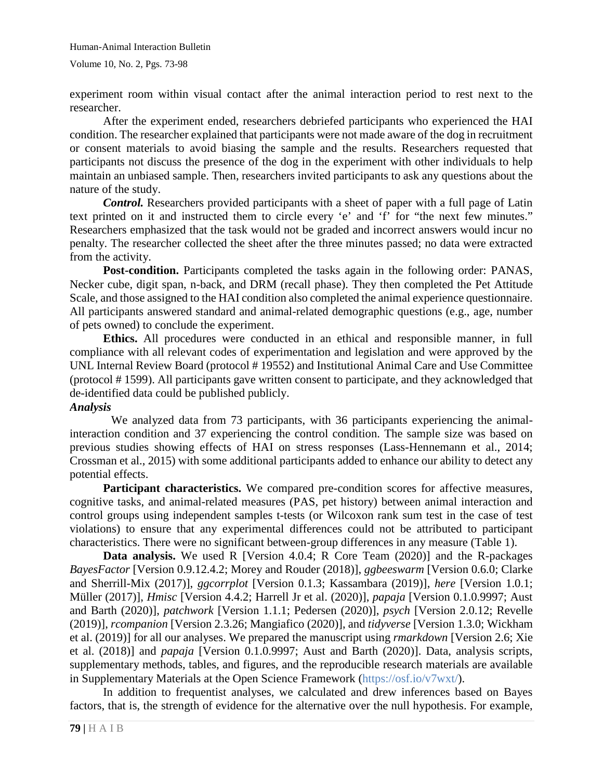experiment room within visual contact after the animal interaction period to rest next to the researcher.

After the experiment ended, researchers debriefed participants who experienced the HAI condition. The researcher explained that participants were not made aware of the dog in recruitment or consent materials to avoid biasing the sample and the results. Researchers requested that participants not discuss the presence of the dog in the experiment with other individuals to help maintain an unbiased sample. Then, researchers invited participants to ask any questions about the nature of the study.

*Control.* Researchers provided participants with a sheet of paper with a full page of Latin text printed on it and instructed them to circle every 'e' and 'f' for "the next few minutes." Researchers emphasized that the task would not be graded and incorrect answers would incur no penalty. The researcher collected the sheet after the three minutes passed; no data were extracted from the activity.

**Post-condition.** Participants completed the tasks again in the following order: PANAS, Necker cube, digit span, n-back, and DRM (recall phase). They then completed the Pet Attitude Scale, and those assigned to the HAI condition also completed the animal experience questionnaire. All participants answered standard and animal-related demographic questions (e.g., age, number of pets owned) to conclude the experiment.

**Ethics.** All procedures were conducted in an ethical and responsible manner, in full compliance with all relevant codes of experimentation and legislation and were approved by the UNL Internal Review Board (protocol # 19552) and Institutional Animal Care and Use Committee (protocol # 1599). All participants gave written consent to participate, and they acknowledged that de-identified data could be published publicly.

#### *Analysis*

We analyzed data from 73 participants, with 36 participants experiencing the animalinteraction condition and 37 experiencing the control condition. The sample size was based on previous studies showing effects of HAI on stress responses (Lass-Hennemann et al., 2014; Crossman et al., 2015) with some additional participants added to enhance our ability to detect any potential effects.

Participant characteristics. We compared pre-condition scores for affective measures, cognitive tasks, and animal-related measures (PAS, pet history) between animal interaction and control groups using independent samples t-tests (or Wilcoxon rank sum test in the case of test violations) to ensure that any experimental differences could not be attributed to participant characteristics. There were no significant between-group differences in any measure (Table 1).

**Data analysis.** We used R [Version 4.0.4; R Core Team (2020)] and the R-packages *BayesFactor* [Version 0.9.12.4.2; Morey and Rouder (2018)], *ggbeeswarm* [Version 0.6.0; Clarke and Sherrill-Mix (2017)], *ggcorrplot* [Version 0.1.3; Kassambara (2019)], *here* [Version 1.0.1; Müller (2017)], *Hmisc* [Version 4.4.2; Harrell Jr et al. (2020)], *papaja* [Version 0.1.0.9997; Aust and Barth (2020)], *patchwork* [Version 1.1.1; Pedersen (2020)], *psych* [Version 2.0.12; Revelle (2019)], *rcompanion* [Version 2.3.26; Mangiafico (2020)], and *tidyverse* [Version 1.3.0; Wickham et al. (2019)] for all our analyses. We prepared the manuscript using *rmarkdown* [Version 2.6; Xie et al. (2018)] and *papaja* [Version 0.1.0.9997; Aust and Barth (2020)]. Data, analysis scripts, supplementary methods, tables, and figures, and the reproducible research materials are available in Supplementary Materials at the Open Science Framework [\(https://osf.io/v7wxt/\)](https://osf.io/v7wxt/).

In addition to frequentist analyses, we calculated and drew inferences based on Bayes factors, that is, the strength of evidence for the alternative over the null hypothesis. For example,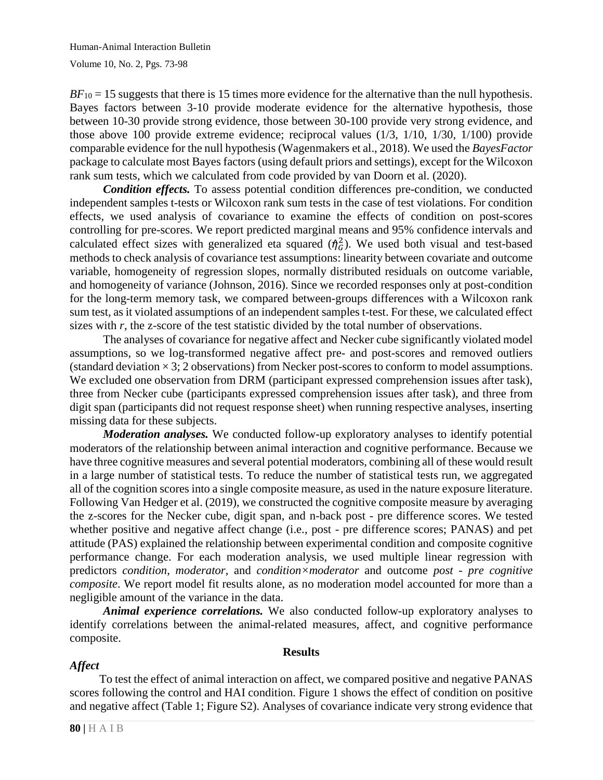$BF_{10} = 15$  suggests that there is 15 times more evidence for the alternative than the null hypothesis. Bayes factors between 3-10 provide moderate evidence for the alternative hypothesis, those between 10-30 provide strong evidence, those between 30-100 provide very strong evidence, and those above 100 provide extreme evidence; reciprocal values (1/3, 1/10, 1/30, 1/100) provide comparable evidence for the null hypothesis (Wagenmakers et al., 2018). We used the *BayesFactor* package to calculate most Bayes factors (using default priors and settings), except for the Wilcoxon rank sum tests, which we calculated from code provided by van Doorn et al. (2020).

*Condition effects.* To assess potential condition differences pre-condition, we conducted independent samples t-tests or Wilcoxon rank sum tests in the case of test violations. For condition effects, we used analysis of covariance to examine the effects of condition on post-scores controlling for pre-scores. We report predicted marginal means and 95% confidence intervals and calculated effect sizes with generalized eta squared  $(\eta_G^2)$ . We used both visual and test-based methods to check analysis of covariance test assumptions: linearity between covariate and outcome variable, homogeneity of regression slopes, normally distributed residuals on outcome variable, and homogeneity of variance (Johnson, 2016). Since we recorded responses only at post-condition for the long-term memory task, we compared between-groups differences with a Wilcoxon rank sum test, as it violated assumptions of an independent samples t-test. For these, we calculated effect sizes with *r*, the z-score of the test statistic divided by the total number of observations.

The analyses of covariance for negative affect and Necker cube significantly violated model assumptions, so we log-transformed negative affect pre- and post-scores and removed outliers (standard deviation  $\times$  3; 2 observations) from Necker post-scores to conform to model assumptions. We excluded one observation from DRM (participant expressed comprehension issues after task), three from Necker cube (participants expressed comprehension issues after task), and three from digit span (participants did not request response sheet) when running respective analyses, inserting missing data for these subjects.

*Moderation analyses.* We conducted follow-up exploratory analyses to identify potential moderators of the relationship between animal interaction and cognitive performance. Because we have three cognitive measures and several potential moderators, combining all of these would result in a large number of statistical tests. To reduce the number of statistical tests run, we aggregated all of the cognition scores into a single composite measure, as used in the nature exposure literature. Following Van Hedger et al. (2019), we constructed the cognitive composite measure by averaging the z-scores for the Necker cube, digit span, and n-back post - pre difference scores. We tested whether positive and negative affect change (i.e., post - pre difference scores; PANAS) and pet attitude (PAS) explained the relationship between experimental condition and composite cognitive performance change. For each moderation analysis, we used multiple linear regression with predictors *condition*, *moderator*, and *condition×moderator* and outcome *post - pre cognitive composite*. We report model fit results alone, as no moderation model accounted for more than a negligible amount of the variance in the data.

*Animal experience correlations.* We also conducted follow-up exploratory analyses to identify correlations between the animal-related measures, affect, and cognitive performance composite.

#### **Results**

# *Affect*

To test the effect of animal interaction on affect, we compared positive and negative PANAS scores following the control and HAI condition. Figure 1 shows the effect of condition on positive and negative affect (Table 1; Figure S2). Analyses of covariance indicate very strong evidence that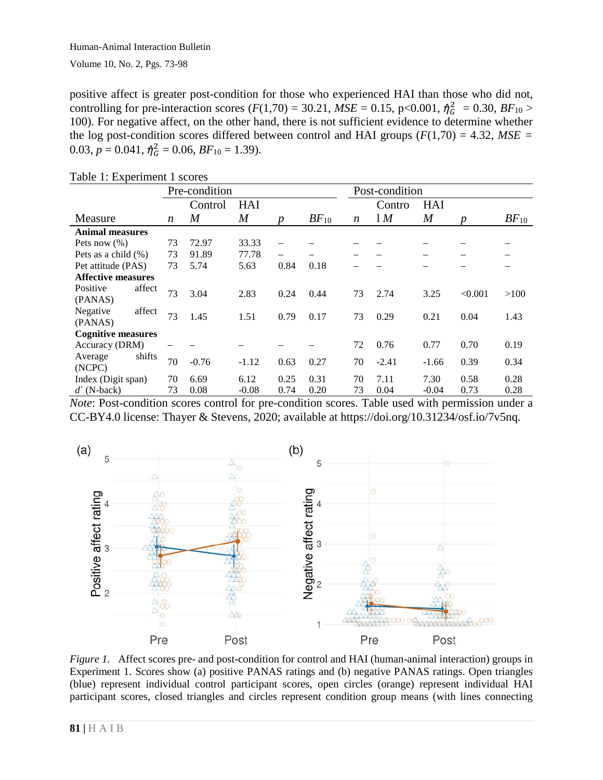positive affect is greater post-condition for those who experienced HAI than those who did not, controlling for pre-interaction scores ( $F(1,70) = 30.21$ ,  $MSE = 0.15$ ,  $p < 0.001$ ,  $\hat{\eta}_G^2 = 0.30$ ,  $BF_{10} >$ 100). For negative affect, on the other hand, there is not sufficient evidence to determine whether the log post-condition scores differed between control and HAI groups  $(F(1,70) = 4.32, MSE =$ 0.03,  $p = 0.041$ ,  $\hat{\eta}_G^2 = 0.06$ ,  $BF_{10} = 1.39$ ).

|                           |        | Pre-condition |         |                  |                  |           | Post-condition |                |                  |         |           |
|---------------------------|--------|---------------|---------|------------------|------------------|-----------|----------------|----------------|------------------|---------|-----------|
|                           |        |               | Control | <b>HAI</b>       |                  |           |                | Contro         | <b>HAI</b>       |         |           |
| Measure                   |        | n             | M       | $\boldsymbol{M}$ | $\boldsymbol{p}$ | $BF_{10}$ | n              | 1 <sub>M</sub> | $\boldsymbol{M}$ | p       | $BF_{10}$ |
| <b>Animal measures</b>    |        |               |         |                  |                  |           |                |                |                  |         |           |
| Pets now $(\%)$           |        | 73            | 72.97   | 33.33            |                  |           |                |                |                  |         |           |
| Pets as a child $(\%)$    |        | 73            | 91.89   | 77.78            |                  |           |                |                |                  |         |           |
| Pet attitude (PAS)        |        | 73            | 5.74    | 5.63             | 0.84             | 0.18      |                |                |                  |         |           |
| <b>Affective measures</b> |        |               |         |                  |                  |           |                |                |                  |         |           |
| Positive                  | affect | 73            | 3.04    | 2.83             | 0.24             | 0.44      | 73             | 2.74           | 3.25             | < 0.001 | >100      |
| (PANAS)                   |        |               |         |                  |                  |           |                |                |                  |         |           |
| Negative                  | affect | 73            | 1.45    | 1.51             | 0.79             | 0.17      | 73             | 0.29           | 0.21             | 0.04    | 1.43      |
| (PANAS)                   |        |               |         |                  |                  |           |                |                |                  |         |           |
| <b>Cognitive measures</b> |        |               |         |                  |                  |           |                |                |                  |         |           |
| Accuracy (DRM)            |        |               |         |                  |                  |           | 72             | 0.76           | 0.77             | 0.70    | 0.19      |
| Average                   | shifts | 70            | $-0.76$ | $-1.12$          | 0.63             | 0.27      | 70             | $-2.41$        | $-1.66$          | 0.39    | 0.34      |
| (NCPC)                    |        |               |         |                  |                  |           |                |                |                  |         |           |
| Index (Digit span)        |        | 70            | 6.69    | 6.12             | 0.25             | 0.31      | 70             | 7.11           | 7.30             | 0.58    | 0.28      |
| $d'$ (N-back)             |        | 73            | 0.08    | $-0.08$          | 0.74             | 0.20      | 73             | 0.04           | $-0.04$          | 0.73    | 0.28      |

#### Table 1: Experiment 1 scores

*Note*: Post-condition scores control for pre-condition scores. Table used with permission under a CC-BY4.0 license: Thayer & Stevens, 2020; available at https://doi.org/10.31234/osf.io/7v5nq.



*Figure* 1. Affect scores pre- and post-condition for control and HAI (human-animal interaction) groups in Experiment 1. Scores show (a) positive PANAS ratings and (b) negative PANAS ratings. Open triangles (blue) represent individual control participant scores, open circles (orange) represent individual HAI participant scores, closed triangles and circles represent condition group means (with lines connecting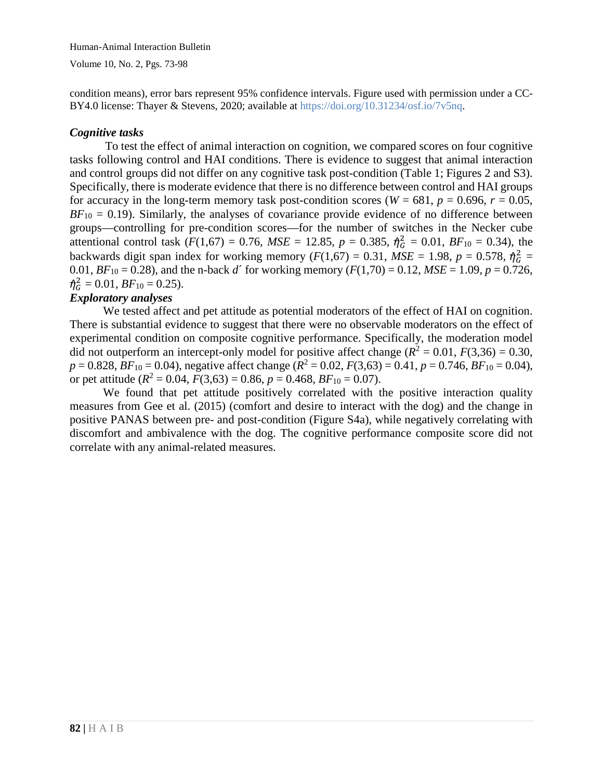Human-Animal Interaction Bulletin

Volume 10, No. 2, Pgs. 73-98

condition means), error bars represent 95% confidence intervals. Figure used with permission under a CC-BY4.0 license: Thayer & Stevens, 2020; available at [https://doi.org/10.31234/osf.io/7v5nq.](https://doi.org/10.31234/osf.io/7v5nq)

## *Cognitive tasks*

To test the effect of animal interaction on cognition, we compared scores on four cognitive tasks following control and HAI conditions. There is evidence to suggest that animal interaction and control groups did not differ on any cognitive task post-condition (Table 1; Figures 2 and S3). Specifically, there is moderate evidence that there is no difference between control and HAI groups for accuracy in the long-term memory task post-condition scores ( $W = 681$ ,  $p = 0.696$ ,  $r = 0.05$ ,  $BF_{10} = 0.19$ ). Similarly, the analyses of covariance provide evidence of no difference between groups—controlling for pre-condition scores—for the number of switches in the Necker cube attentional control task ( $F(1,67) = 0.76$ ,  $MSE = 12.85$ ,  $p = 0.385$ ,  $\hat{\eta}_G^2 = 0.01$ ,  $BF_{10} = 0.34$ ), the backwards digit span index for working memory  $(F(1,67) = 0.31, MSE = 1.98, p = 0.578, \eta_G^2 =$ 0.01,  $BF_{10} = 0.28$ ), and the n-back *d'* for working memory ( $F(1,70) = 0.12$ ,  $MSE = 1.09$ ,  $p = 0.726$ ,  $\eta_G^2 = 0.01, BF_{10} = 0.25$ .

## *Exploratory analyses*

We tested affect and pet attitude as potential moderators of the effect of HAI on cognition. There is substantial evidence to suggest that there were no observable moderators on the effect of experimental condition on composite cognitive performance. Specifically, the moderation model did not outperform an intercept-only model for positive affect change ( $R^2 = 0.01$ ,  $F(3,36) = 0.30$ ,  $p = 0.828$ ,  $BF_{10} = 0.04$ ), negative affect change  $(R^2 = 0.02, F(3,63) = 0.41, p = 0.746, BF_{10} = 0.04$ ), or pet attitude  $(R^2 = 0.04, F(3,63) = 0.86, p = 0.468, BF_{10} = 0.07)$ .

We found that pet attitude positively correlated with the positive interaction quality measures from Gee et al. (2015) (comfort and desire to interact with the dog) and the change in positive PANAS between pre- and post-condition (Figure S4a), while negatively correlating with discomfort and ambivalence with the dog. The cognitive performance composite score did not correlate with any animal-related measures.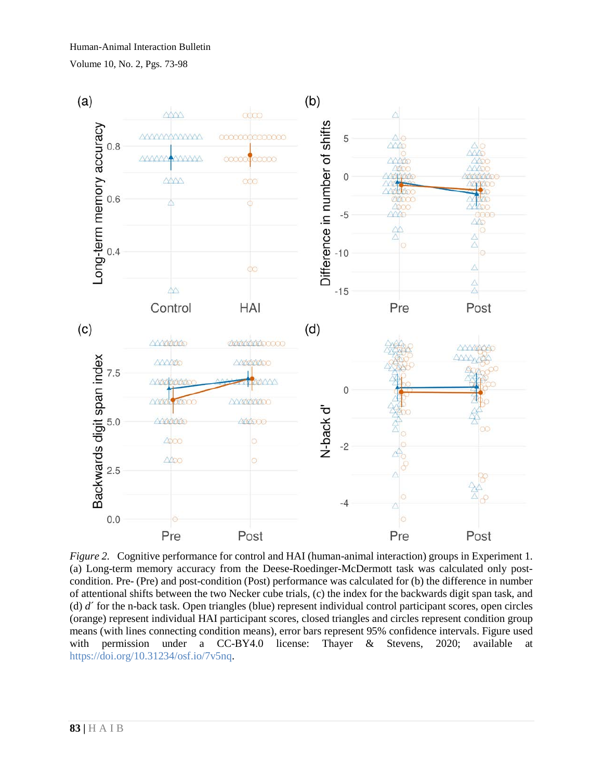Volume 10, No. 2, Pgs. 73-98



*Figure 2.* Cognitive performance for control and HAI (human-animal interaction) groups in Experiment 1. (a) Long-term memory accuracy from the Deese-Roedinger-McDermott task was calculated only postcondition. Pre- (Pre) and post-condition (Post) performance was calculated for (b) the difference in number of attentional shifts between the two Necker cube trials, (c) the index for the backwards digit span task, and (d) *d*´ for the n-back task. Open triangles (blue) represent individual control participant scores, open circles (orange) represent individual HAI participant scores, closed triangles and circles represent condition group means (with lines connecting condition means), error bars represent 95% confidence intervals. Figure used with permission under a CC-BY4.0 license: Thayer & Stevens, 2020; available at [https://doi.org/10.31234/osf.io/7v5nq.](https://doi.org/10.31234/osf.io/7v5nq)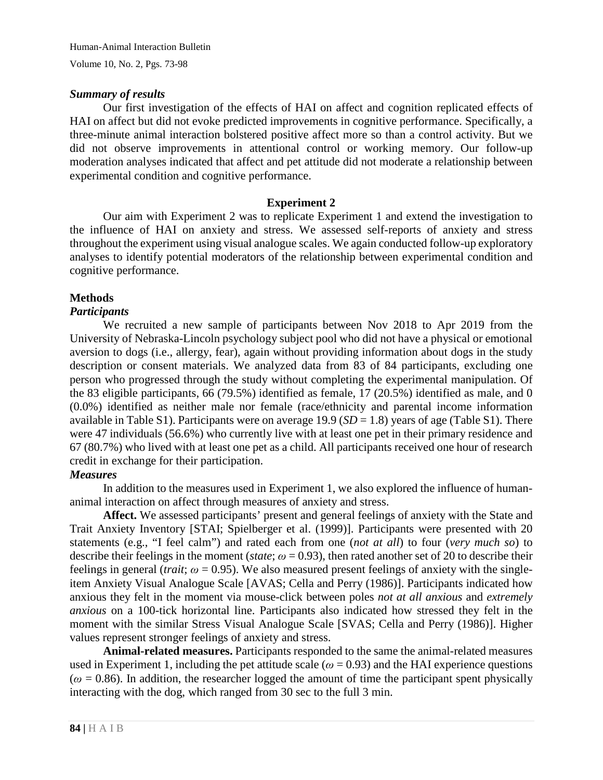#### *Summary of results*

Our first investigation of the effects of HAI on affect and cognition replicated effects of HAI on affect but did not evoke predicted improvements in cognitive performance. Specifically, a three-minute animal interaction bolstered positive affect more so than a control activity. But we did not observe improvements in attentional control or working memory. Our follow-up moderation analyses indicated that affect and pet attitude did not moderate a relationship between experimental condition and cognitive performance.

## **Experiment 2**

Our aim with Experiment 2 was to replicate Experiment 1 and extend the investigation to the influence of HAI on anxiety and stress. We assessed self-reports of anxiety and stress throughout the experiment using visual analogue scales. We again conducted follow-up exploratory analyses to identify potential moderators of the relationship between experimental condition and cognitive performance.

## **Methods**

## *Participants*

We recruited a new sample of participants between Nov 2018 to Apr 2019 from the University of Nebraska-Lincoln psychology subject pool who did not have a physical or emotional aversion to dogs (i.e., allergy, fear), again without providing information about dogs in the study description or consent materials. We analyzed data from 83 of 84 participants, excluding one person who progressed through the study without completing the experimental manipulation. Of the 83 eligible participants, 66 (79.5%) identified as female, 17 (20.5%) identified as male, and 0 (0.0%) identified as neither male nor female (race/ethnicity and parental income information available in Table S1). Participants were on average 19.9 (*SD* = 1.8) years of age (Table S1). There were 47 individuals (56.6%) who currently live with at least one pet in their primary residence and 67 (80.7%) who lived with at least one pet as a child. All participants received one hour of research credit in exchange for their participation.

#### *Measures*

In addition to the measures used in Experiment 1, we also explored the influence of humananimal interaction on affect through measures of anxiety and stress.

**Affect.** We assessed participants' present and general feelings of anxiety with the State and Trait Anxiety Inventory [STAI; Spielberger et al. (1999)]. Participants were presented with 20 statements (e.g., "I feel calm") and rated each from one (*not at all*) to four (*very much so*) to describe their feelings in the moment (*state*;  $\omega$  = 0.93), then rated another set of 20 to describe their feelings in general (*trait*;  $\omega$  = 0.95). We also measured present feelings of anxiety with the singleitem Anxiety Visual Analogue Scale [AVAS; Cella and Perry (1986)]. Participants indicated how anxious they felt in the moment via mouse-click between poles *not at all anxious* and *extremely anxious* on a 100-tick horizontal line. Participants also indicated how stressed they felt in the moment with the similar Stress Visual Analogue Scale [SVAS; Cella and Perry (1986)]. Higher values represent stronger feelings of anxiety and stress.

**Animal-related measures.** Participants responded to the same the animal-related measures used in Experiment 1, including the pet attitude scale ( $\omega$  = 0.93) and the HAI experience questions  $(\omega = 0.86)$ . In addition, the researcher logged the amount of time the participant spent physically interacting with the dog, which ranged from 30 sec to the full 3 min.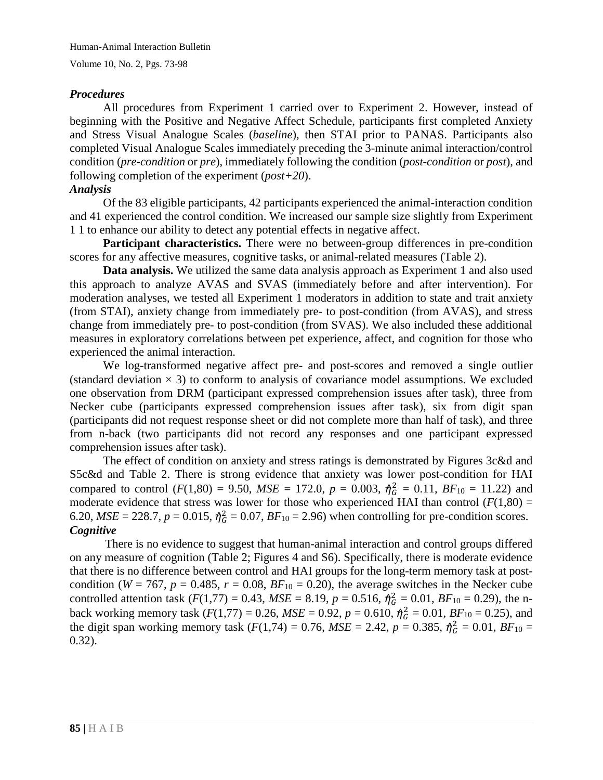## *Procedures*

All procedures from Experiment 1 carried over to Experiment 2. However, instead of beginning with the Positive and Negative Affect Schedule, participants first completed Anxiety and Stress Visual Analogue Scales (*baseline*), then STAI prior to PANAS. Participants also completed Visual Analogue Scales immediately preceding the 3-minute animal interaction/control condition (*pre-condition* or *pre*), immediately following the condition (*post-condition* or *post*), and following completion of the experiment (*post+20*).

## *Analysis*

Of the 83 eligible participants, 42 participants experienced the animal-interaction condition and 41 experienced the control condition. We increased our sample size slightly from Experiment 1 1 to enhance our ability to detect any potential effects in negative affect.

**Participant characteristics.** There were no between-group differences in pre-condition scores for any affective measures, cognitive tasks, or animal-related measures (Table 2).

**Data analysis.** We utilized the same data analysis approach as Experiment 1 and also used this approach to analyze AVAS and SVAS (immediately before and after intervention). For moderation analyses, we tested all Experiment 1 moderators in addition to state and trait anxiety (from STAI), anxiety change from immediately pre- to post-condition (from AVAS), and stress change from immediately pre- to post-condition (from SVAS). We also included these additional measures in exploratory correlations between pet experience, affect, and cognition for those who experienced the animal interaction.

We log-transformed negative affect pre- and post-scores and removed a single outlier (standard deviation  $\times$  3) to conform to analysis of covariance model assumptions. We excluded one observation from DRM (participant expressed comprehension issues after task), three from Necker cube (participants expressed comprehension issues after task), six from digit span (participants did not request response sheet or did not complete more than half of task), and three from n-back (two participants did not record any responses and one participant expressed comprehension issues after task).

The effect of condition on anxiety and stress ratings is demonstrated by Figures 3c&d and S5c&d and Table 2. There is strong evidence that anxiety was lower post-condition for HAI compared to control ( $F(1,80) = 9.50$ ,  $MSE = 172.0$ ,  $p = 0.003$ ,  $\eta_G^2 = 0.11$ ,  $BF_{10} = 11.22$ ) and moderate evidence that stress was lower for those who experienced HAI than control  $(F(1,80) =$ 6.20,  $MSE = 228.7$ ,  $p = 0.015$ ,  $\hat{\eta}_G^2 = 0.07$ ,  $BF_{10} = 2.96$ ) when controlling for pre-condition scores. *Cognitive*

There is no evidence to suggest that human-animal interaction and control groups differed on any measure of cognition (Table 2; Figures 4 and S6). Specifically, there is moderate evidence that there is no difference between control and HAI groups for the long-term memory task at postcondition ( $W = 767$ ,  $p = 0.485$ ,  $r = 0.08$ ,  $BF_{10} = 0.20$ ), the average switches in the Necker cube controlled attention task  $(F(1,77) = 0.43, MSE = 8.19, p = 0.516, \hat{T}_{G}^{2} = 0.01, BF_{10} = 0.29)$ , the nback working memory task ( $F(1,77) = 0.26$ ,  $MSE = 0.92$ ,  $p = 0.610$ ,  $\hat{\eta}_G^2 = 0.01$ ,  $BF_{10} = 0.25$ ), and the digit span working memory task  $(F(1,74) = 0.76, MSE = 2.42, p = 0.385, \eta_G^2 = 0.01, BF_{10} =$ 0.32).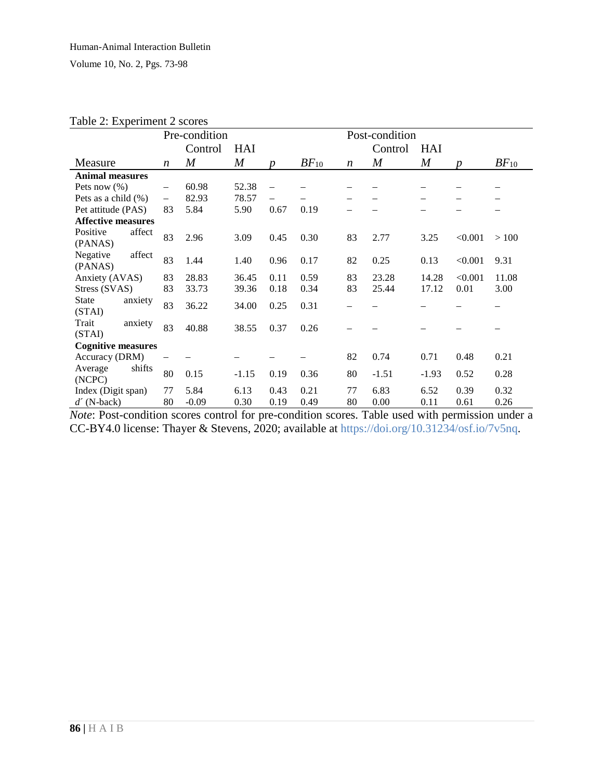| rable 2. Experiment 2 scores      |                          |                |                  |                  |                |                  |                  |                  |                  |           |
|-----------------------------------|--------------------------|----------------|------------------|------------------|----------------|------------------|------------------|------------------|------------------|-----------|
|                                   | Pre-condition            |                |                  |                  | Post-condition |                  |                  |                  |                  |           |
|                                   |                          | Control        | HAI              |                  |                |                  | Control          | HAI              |                  |           |
| Measure                           | $\boldsymbol{n}$         | $\overline{M}$ | $\boldsymbol{M}$ | $\boldsymbol{p}$ | $BF_{10}$      | $\boldsymbol{n}$ | $\boldsymbol{M}$ | $\boldsymbol{M}$ | $\boldsymbol{D}$ | $BF_{10}$ |
| <b>Animal measures</b>            |                          |                |                  |                  |                |                  |                  |                  |                  |           |
| Pets now $(\%)$                   | $\overline{\phantom{0}}$ | 60.98          | 52.38            |                  |                |                  |                  |                  |                  |           |
| Pets as a child $(\%)$            | $\qquad \qquad -$        | 82.93          | 78.57            |                  |                |                  |                  |                  |                  |           |
| Pet attitude (PAS)                | 83                       | 5.84           | 5.90             | 0.67             | 0.19           |                  |                  |                  |                  |           |
| <b>Affective measures</b>         |                          |                |                  |                  |                |                  |                  |                  |                  |           |
| Positive<br>affect<br>(PANAS)     | 83                       | 2.96           | 3.09             | 0.45             | 0.30           | 83               | 2.77             | 3.25             | < 0.001          | >100      |
| affect<br>Negative<br>(PANAS)     | 83                       | 1.44           | 1.40             | 0.96             | 0.17           | 82               | 0.25             | 0.13             | < 0.001          | 9.31      |
| Anxiety (AVAS)                    | 83                       | 28.83          | 36.45            | 0.11             | 0.59           | 83               | 23.28            | 14.28            | < 0.001          | 11.08     |
| Stress (SVAS)                     | 83                       | 33.73          | 39.36            | 0.18             | 0.34           | 83               | 25.44            | 17.12            | 0.01             | 3.00      |
| <b>State</b><br>anxiety<br>(STAI) | 83                       | 36.22          | 34.00            | 0.25             | 0.31           |                  |                  |                  |                  |           |
| Trait<br>anxiety<br>(STAI)        | 83                       | 40.88          | 38.55            | 0.37             | 0.26           |                  |                  |                  |                  |           |
| <b>Cognitive measures</b>         |                          |                |                  |                  |                |                  |                  |                  |                  |           |
| Accuracy (DRM)                    |                          |                |                  |                  |                | 82               | 0.74             | 0.71             | 0.48             | 0.21      |
| shifts<br>Average<br>(NCPC)       | 80                       | 0.15           | $-1.15$          | 0.19             | 0.36           | 80               | $-1.51$          | $-1.93$          | 0.52             | 0.28      |
| Index (Digit span)                | 77                       | 5.84           | 6.13             | 0.43             | 0.21           | 77               | 6.83             | 6.52             | 0.39             | 0.32      |
| $d'$ (N-back)                     | 80                       | $-0.09$        | 0.30             | 0.19             | 0.49           | 80               | 0.00             | 0.11             | 0.61             | 0.26      |

Table 2: Experiment 2 scores

*Note*: Post-condition scores control for pre-condition scores. Table used with permission under a CC-BY4.0 license: Thayer & Stevens, 2020; available at [https://doi.org/10.31234/osf.io/7v5nq.](https://doi.org/10.31234/osf.io/7v5nq)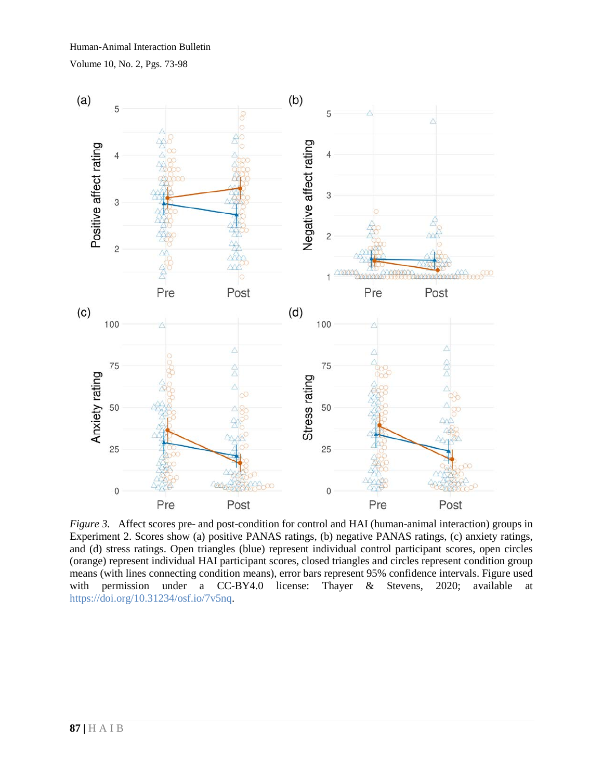

*Figure* 3. Affect scores pre- and post-condition for control and HAI (human-animal interaction) groups in Experiment 2. Scores show (a) positive PANAS ratings, (b) negative PANAS ratings, (c) anxiety ratings, and (d) stress ratings. Open triangles (blue) represent individual control participant scores, open circles (orange) represent individual HAI participant scores, closed triangles and circles represent condition group means (with lines connecting condition means), error bars represent 95% confidence intervals. Figure used with permission under a CC-BY4.0 license: Thayer & Stevens, 2020; available at [https://doi.org/10.31234/osf.io/7v5nq.](https://doi.org/10.31234/osf.io/7v5nq)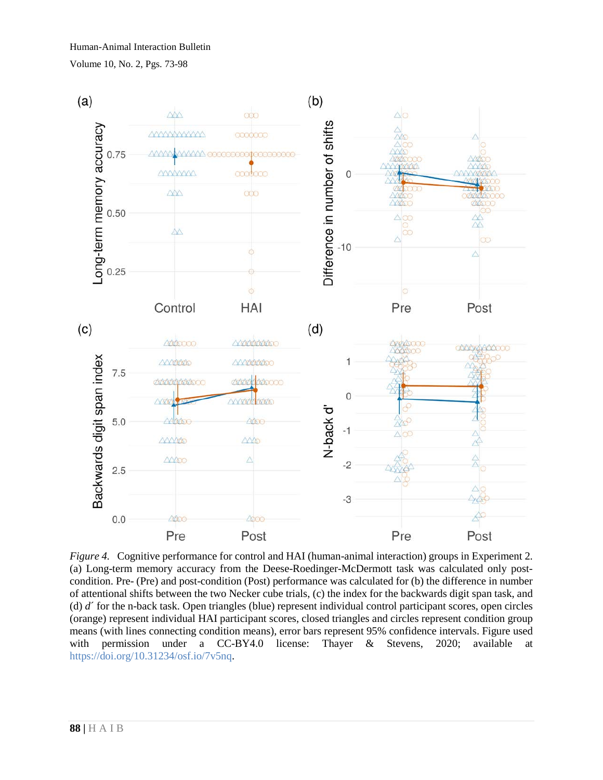

*Figure 4.* Cognitive performance for control and HAI (human-animal interaction) groups in Experiment 2. (a) Long-term memory accuracy from the Deese-Roedinger-McDermott task was calculated only postcondition. Pre- (Pre) and post-condition (Post) performance was calculated for (b) the difference in number of attentional shifts between the two Necker cube trials, (c) the index for the backwards digit span task, and (d) *d*´ for the n-back task. Open triangles (blue) represent individual control participant scores, open circles (orange) represent individual HAI participant scores, closed triangles and circles represent condition group means (with lines connecting condition means), error bars represent 95% confidence intervals. Figure used with permission under a CC-BY4.0 license: Thayer & Stevens, 2020; available at [https://doi.org/10.31234/osf.io/7v5nq.](https://doi.org/10.31234/osf.io/7v5nq)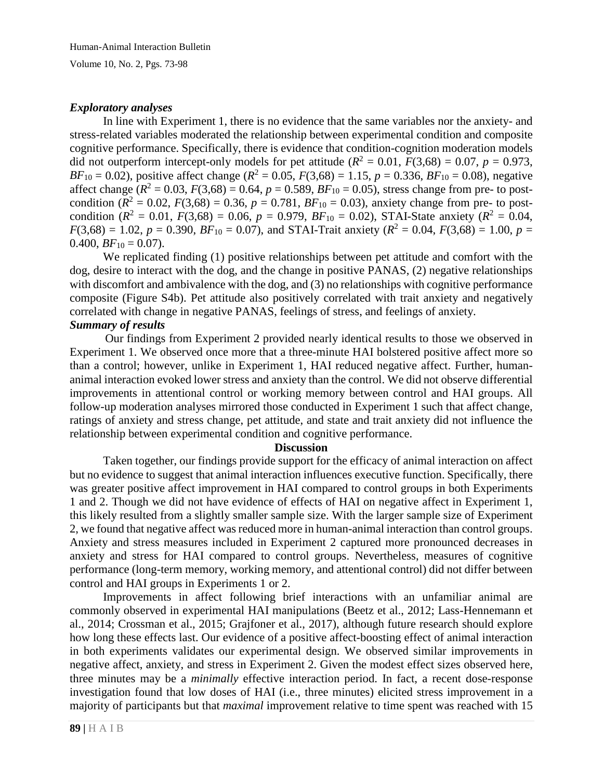#### *Exploratory analyses*

In line with Experiment 1, there is no evidence that the same variables nor the anxiety- and stress-related variables moderated the relationship between experimental condition and composite cognitive performance. Specifically, there is evidence that condition-cognition moderation models did not outperform intercept-only models for pet attitude  $(R^2 = 0.01, F(3,68) = 0.07, p = 0.973,$ *BF*<sub>10</sub> = 0.02), positive affect change ( $R^2 = 0.05$ ,  $F(3,68) = 1.15$ ,  $p = 0.336$ ,  $BF_{10} = 0.08$ ), negative affect change  $(R^2 = 0.03, F(3,68) = 0.64, p = 0.589, BF_{10} = 0.05)$ , stress change from pre- to postcondition  $(R^2 = 0.02, F(3,68) = 0.36, p = 0.781, BF_{10} = 0.03)$ , anxiety change from pre- to postcondition  $(R^2 = 0.01, F(3,68) = 0.06, p = 0.979, BF_{10} = 0.02)$ , STAI-State anxiety  $(R^2 = 0.04,$  $F(3,68) = 1.02, p = 0.390, BF_{10} = 0.07$ , and STAI-Trait anxiety ( $R^2 = 0.04, F(3,68) = 1.00, p = 0.04$ ) 0.400,  $BF_{10} = 0.07$ ).

We replicated finding (1) positive relationships between pet attitude and comfort with the dog, desire to interact with the dog, and the change in positive PANAS, (2) negative relationships with discomfort and ambivalence with the dog, and (3) no relationships with cognitive performance composite (Figure S4b). Pet attitude also positively correlated with trait anxiety and negatively correlated with change in negative PANAS, feelings of stress, and feelings of anxiety.

# *Summary of results*

Our findings from Experiment 2 provided nearly identical results to those we observed in Experiment 1. We observed once more that a three-minute HAI bolstered positive affect more so than a control; however, unlike in Experiment 1, HAI reduced negative affect. Further, humananimal interaction evoked lower stress and anxiety than the control. We did not observe differential improvements in attentional control or working memory between control and HAI groups. All follow-up moderation analyses mirrored those conducted in Experiment 1 such that affect change, ratings of anxiety and stress change, pet attitude, and state and trait anxiety did not influence the relationship between experimental condition and cognitive performance.

#### **Discussion**

Taken together, our findings provide support for the efficacy of animal interaction on affect but no evidence to suggest that animal interaction influences executive function. Specifically, there was greater positive affect improvement in HAI compared to control groups in both Experiments 1 and 2. Though we did not have evidence of effects of HAI on negative affect in Experiment 1, this likely resulted from a slightly smaller sample size. With the larger sample size of Experiment 2, we found that negative affect was reduced more in human-animal interaction than control groups. Anxiety and stress measures included in Experiment 2 captured more pronounced decreases in anxiety and stress for HAI compared to control groups. Nevertheless, measures of cognitive performance (long-term memory, working memory, and attentional control) did not differ between control and HAI groups in Experiments 1 or 2.

Improvements in affect following brief interactions with an unfamiliar animal are commonly observed in experimental HAI manipulations (Beetz et al., 2012; Lass-Hennemann et al., 2014; Crossman et al., 2015; Grajfoner et al., 2017), although future research should explore how long these effects last. Our evidence of a positive affect-boosting effect of animal interaction in both experiments validates our experimental design. We observed similar improvements in negative affect, anxiety, and stress in Experiment 2. Given the modest effect sizes observed here, three minutes may be a *minimally* effective interaction period. In fact, a recent dose-response investigation found that low doses of HAI (i.e., three minutes) elicited stress improvement in a majority of participants but that *maximal* improvement relative to time spent was reached with 15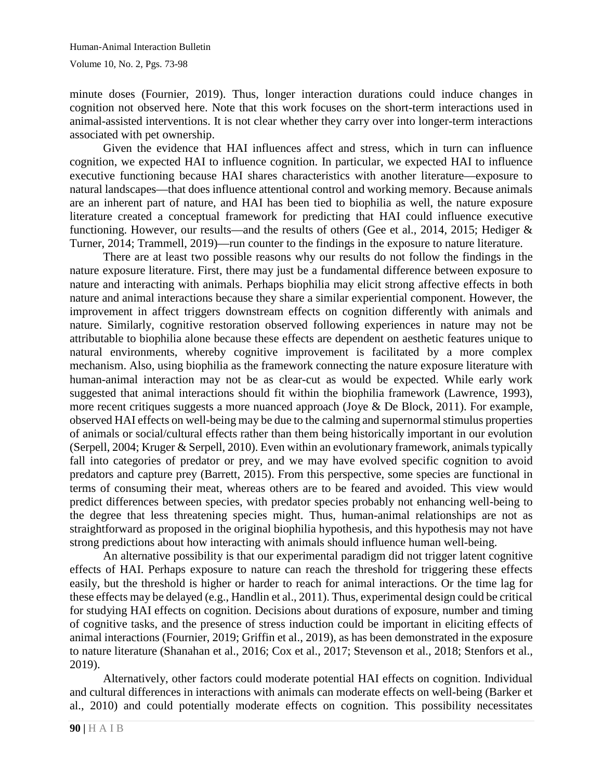minute doses (Fournier, 2019). Thus, longer interaction durations could induce changes in cognition not observed here. Note that this work focuses on the short-term interactions used in animal-assisted interventions. It is not clear whether they carry over into longer-term interactions associated with pet ownership.

Given the evidence that HAI influences affect and stress, which in turn can influence cognition, we expected HAI to influence cognition. In particular, we expected HAI to influence executive functioning because HAI shares characteristics with another literature—exposure to natural landscapes—that does influence attentional control and working memory. Because animals are an inherent part of nature, and HAI has been tied to biophilia as well, the nature exposure literature created a conceptual framework for predicting that HAI could influence executive functioning. However, our results—and the results of others (Gee et al., 2014, 2015; Hediger & Turner, 2014; Trammell, 2019)—run counter to the findings in the exposure to nature literature.

There are at least two possible reasons why our results do not follow the findings in the nature exposure literature. First, there may just be a fundamental difference between exposure to nature and interacting with animals. Perhaps biophilia may elicit strong affective effects in both nature and animal interactions because they share a similar experiential component. However, the improvement in affect triggers downstream effects on cognition differently with animals and nature. Similarly, cognitive restoration observed following experiences in nature may not be attributable to biophilia alone because these effects are dependent on aesthetic features unique to natural environments, whereby cognitive improvement is facilitated by a more complex mechanism. Also, using biophilia as the framework connecting the nature exposure literature with human-animal interaction may not be as clear-cut as would be expected. While early work suggested that animal interactions should fit within the biophilia framework (Lawrence, 1993), more recent critiques suggests a more nuanced approach (Joye & De Block, 2011). For example, observed HAI effects on well-being may be due to the calming and supernormal stimulus properties of animals or social/cultural effects rather than them being historically important in our evolution (Serpell, 2004; Kruger & Serpell, 2010). Even within an evolutionary framework, animals typically fall into categories of predator or prey, and we may have evolved specific cognition to avoid predators and capture prey (Barrett, 2015). From this perspective, some species are functional in terms of consuming their meat, whereas others are to be feared and avoided. This view would predict differences between species, with predator species probably not enhancing well-being to the degree that less threatening species might. Thus, human-animal relationships are not as straightforward as proposed in the original biophilia hypothesis, and this hypothesis may not have strong predictions about how interacting with animals should influence human well-being.

An alternative possibility is that our experimental paradigm did not trigger latent cognitive effects of HAI. Perhaps exposure to nature can reach the threshold for triggering these effects easily, but the threshold is higher or harder to reach for animal interactions. Or the time lag for these effects may be delayed (e.g., Handlin et al., 2011). Thus, experimental design could be critical for studying HAI effects on cognition. Decisions about durations of exposure, number and timing of cognitive tasks, and the presence of stress induction could be important in eliciting effects of animal interactions (Fournier, 2019; Griffin et al., 2019), as has been demonstrated in the exposure to nature literature (Shanahan et al., 2016; Cox et al., 2017; Stevenson et al., 2018; Stenfors et al., 2019).

Alternatively, other factors could moderate potential HAI effects on cognition. Individual and cultural differences in interactions with animals can moderate effects on well-being (Barker et al., 2010) and could potentially moderate effects on cognition. This possibility necessitates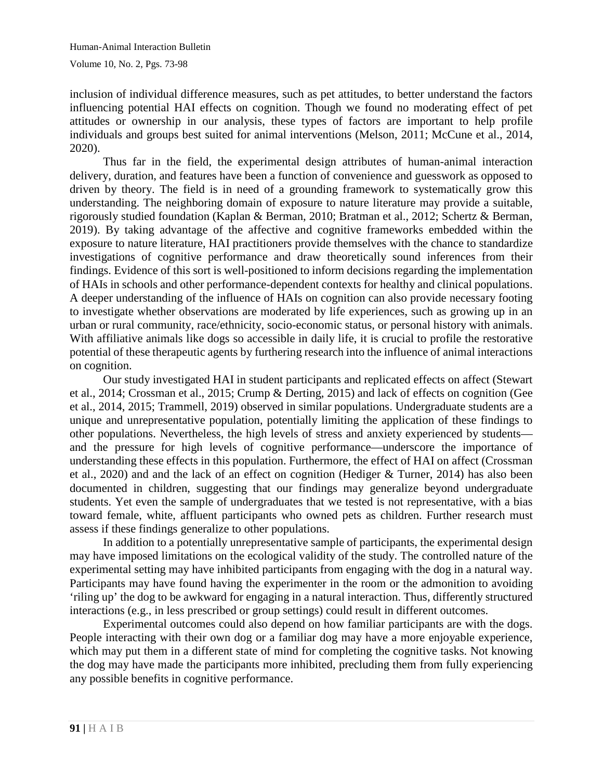inclusion of individual difference measures, such as pet attitudes, to better understand the factors influencing potential HAI effects on cognition. Though we found no moderating effect of pet attitudes or ownership in our analysis, these types of factors are important to help profile individuals and groups best suited for animal interventions (Melson, 2011; McCune et al., 2014, 2020).

Thus far in the field, the experimental design attributes of human-animal interaction delivery, duration, and features have been a function of convenience and guesswork as opposed to driven by theory. The field is in need of a grounding framework to systematically grow this understanding. The neighboring domain of exposure to nature literature may provide a suitable, rigorously studied foundation (Kaplan & Berman, 2010; Bratman et al., 2012; Schertz & Berman, 2019). By taking advantage of the affective and cognitive frameworks embedded within the exposure to nature literature, HAI practitioners provide themselves with the chance to standardize investigations of cognitive performance and draw theoretically sound inferences from their findings. Evidence of this sort is well-positioned to inform decisions regarding the implementation of HAIs in schools and other performance-dependent contexts for healthy and clinical populations. A deeper understanding of the influence of HAIs on cognition can also provide necessary footing to investigate whether observations are moderated by life experiences, such as growing up in an urban or rural community, race/ethnicity, socio-economic status, or personal history with animals. With affiliative animals like dogs so accessible in daily life, it is crucial to profile the restorative potential of these therapeutic agents by furthering research into the influence of animal interactions on cognition.

Our study investigated HAI in student participants and replicated effects on affect (Stewart et al., 2014; Crossman et al., 2015; Crump & Derting, 2015) and lack of effects on cognition (Gee et al., 2014, 2015; Trammell, 2019) observed in similar populations. Undergraduate students are a unique and unrepresentative population, potentially limiting the application of these findings to other populations. Nevertheless, the high levels of stress and anxiety experienced by students and the pressure for high levels of cognitive performance—underscore the importance of understanding these effects in this population. Furthermore, the effect of HAI on affect (Crossman et al., 2020) and and the lack of an effect on cognition (Hediger & Turner, 2014) has also been documented in children, suggesting that our findings may generalize beyond undergraduate students. Yet even the sample of undergraduates that we tested is not representative, with a bias toward female, white, affluent participants who owned pets as children. Further research must assess if these findings generalize to other populations.

In addition to a potentially unrepresentative sample of participants, the experimental design may have imposed limitations on the ecological validity of the study. The controlled nature of the experimental setting may have inhibited participants from engaging with the dog in a natural way. Participants may have found having the experimenter in the room or the admonition to avoiding 'riling up' the dog to be awkward for engaging in a natural interaction. Thus, differently structured interactions (e.g., in less prescribed or group settings) could result in different outcomes.

Experimental outcomes could also depend on how familiar participants are with the dogs. People interacting with their own dog or a familiar dog may have a more enjoyable experience, which may put them in a different state of mind for completing the cognitive tasks. Not knowing the dog may have made the participants more inhibited, precluding them from fully experiencing any possible benefits in cognitive performance.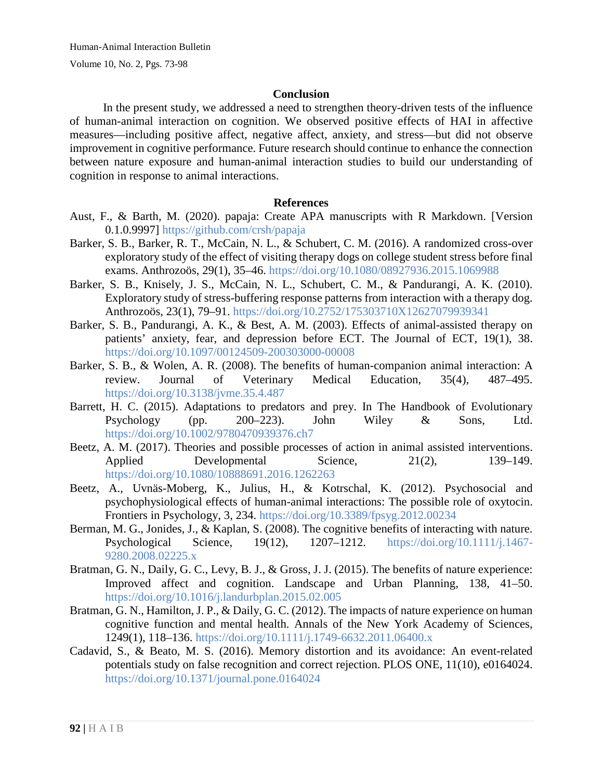#### **Conclusion**

In the present study, we addressed a need to strengthen theory-driven tests of the influence of human-animal interaction on cognition. We observed positive effects of HAI in affective measures—including positive affect, negative affect, anxiety, and stress—but did not observe improvement in cognitive performance. Future research should continue to enhance the connection between nature exposure and human-animal interaction studies to build our understanding of cognition in response to animal interactions.

#### **References**

- Aust, F., & Barth, M. (2020). papaja: Create APA manuscripts with R Markdown. [Version 0.1.0.9997]<https://github.com/crsh/papaja>
- Barker, S. B., Barker, R. T., McCain, N. L., & Schubert, C. M. (2016). A randomized cross-over exploratory study of the effect of visiting therapy dogs on college student stress before final exams. Anthrozoös, 29(1), 35–46.<https://doi.org/10.1080/08927936.2015.1069988>
- Barker, S. B., Knisely, J. S., McCain, N. L., Schubert, C. M., & Pandurangi, A. K. (2010). Exploratory study of stress-buffering response patterns from interaction with a therapy dog. Anthrozoös, 23(1), 79–91.<https://doi.org/10.2752/175303710X12627079939341>
- Barker, S. B., Pandurangi, A. K., & Best, A. M. (2003). Effects of animal-assisted therapy on patients' anxiety, fear, and depression before ECT. The Journal of ECT, 19(1), 38. <https://doi.org/10.1097/00124509-200303000-00008>
- Barker, S. B., & Wolen, A. R. (2008). The benefits of human-companion animal interaction: A review. Journal of Veterinary Medical Education, 35(4), 487–495. <https://doi.org/10.3138/jvme.35.4.487>
- Barrett, H. C. (2015). Adaptations to predators and prey. In The Handbook of Evolutionary Psychology (pp. 200–223). John Wiley & Sons, Ltd. <https://doi.org/10.1002/9780470939376.ch7>
- Beetz, A. M. (2017). Theories and possible processes of action in animal assisted interventions. Applied Developmental Science, 21(2), 139–149. <https://doi.org/10.1080/10888691.2016.1262263>
- Beetz, A., Uvnäs-Moberg, K., Julius, H., & Kotrschal, K. (2012). Psychosocial and psychophysiological effects of human-animal interactions: The possible role of oxytocin. Frontiers in Psychology, 3, 234.<https://doi.org/10.3389/fpsyg.2012.00234>
- Berman, M. G., Jonides, J., & Kaplan, S. (2008). The cognitive benefits of interacting with nature. Psychological Science, 19(12), 1207–1212. [https://doi.org/10.1111/j.1467-](https://doi.org/10.1111/j.1467-9280.2008.02225.x) [9280.2008.02225.x](https://doi.org/10.1111/j.1467-9280.2008.02225.x)
- Bratman, G. N., Daily, G. C., Levy, B. J., & Gross, J. J. (2015). The benefits of nature experience: Improved affect and cognition. Landscape and Urban Planning, 138, 41–50. <https://doi.org/10.1016/j.landurbplan.2015.02.005>
- Bratman, G. N., Hamilton, J. P., & Daily, G. C. (2012). The impacts of nature experience on human cognitive function and mental health. Annals of the New York Academy of Sciences, 1249(1), 118–136.<https://doi.org/10.1111/j.1749-6632.2011.06400.x>
- Cadavid, S., & Beato, M. S. (2016). Memory distortion and its avoidance: An event-related potentials study on false recognition and correct rejection. PLOS ONE, 11(10), e0164024. <https://doi.org/10.1371/journal.pone.0164024>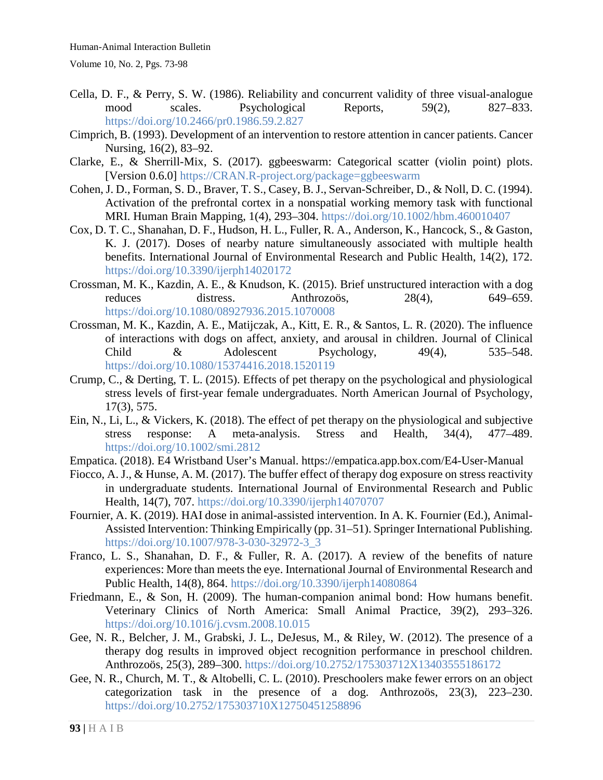- Cella, D. F., & Perry, S. W. (1986). Reliability and concurrent validity of three visual-analogue mood scales. Psychological Reports, 59(2), 827–833. <https://doi.org/10.2466/pr0.1986.59.2.827>
- Cimprich, B. (1993). Development of an intervention to restore attention in cancer patients. Cancer Nursing, 16(2), 83–92.
- Clarke, E., & Sherrill-Mix, S. (2017). ggbeeswarm: Categorical scatter (violin point) plots. [Version 0.6.0] [https://CRAN.R-project.org/package=ggbeeswarm](https://cran.r-project.org/package=ggbeeswarm)
- Cohen, J. D., Forman, S. D., Braver, T. S., Casey, B. J., Servan-Schreiber, D., & Noll, D. C. (1994). Activation of the prefrontal cortex in a nonspatial working memory task with functional MRI. Human Brain Mapping, 1(4), 293–304.<https://doi.org/10.1002/hbm.460010407>
- Cox, D. T. C., Shanahan, D. F., Hudson, H. L., Fuller, R. A., Anderson, K., Hancock, S., & Gaston, K. J. (2017). Doses of nearby nature simultaneously associated with multiple health benefits. International Journal of Environmental Research and Public Health, 14(2), 172. <https://doi.org/10.3390/ijerph14020172>
- Crossman, M. K., Kazdin, A. E., & Knudson, K. (2015). Brief unstructured interaction with a dog reduces distress. Anthrozoös, 28(4), 649–659. <https://doi.org/10.1080/08927936.2015.1070008>
- Crossman, M. K., Kazdin, A. E., Matijczak, A., Kitt, E. R., & Santos, L. R. (2020). The influence of interactions with dogs on affect, anxiety, and arousal in children. Journal of Clinical Child & Adolescent Psychology, 49(4), 535–548. <https://doi.org/10.1080/15374416.2018.1520119>
- Crump, C., & Derting, T. L. (2015). Effects of pet therapy on the psychological and physiological stress levels of first-year female undergraduates. North American Journal of Psychology, 17(3), 575.
- Ein, N., Li, L., & Vickers, K. (2018). The effect of pet therapy on the physiological and subjective stress response: A meta-analysis. Stress and Health, 34(4), 477–489. <https://doi.org/10.1002/smi.2812>
- Empatica. (2018). E4 Wristband User's Manual. https://empatica.app.box.com/E4-User-Manual
- Fiocco, A. J., & Hunse, A. M. (2017). The buffer effect of therapy dog exposure on stress reactivity in undergraduate students. International Journal of Environmental Research and Public Health, 14(7), 707.<https://doi.org/10.3390/ijerph14070707>
- Fournier, A. K. (2019). HAI dose in animal-assisted intervention. In A. K. Fournier (Ed.), Animal-Assisted Intervention: Thinking Empirically (pp. 31–51). Springer International Publishing. [https://doi.org/10.1007/978-3-030-32972-3\\_3](https://doi.org/10.1007/978-3-030-32972-3_3)
- Franco, L. S., Shanahan, D. F., & Fuller, R. A. (2017). A review of the benefits of nature experiences: More than meets the eye. International Journal of Environmental Research and Public Health, 14(8), 864.<https://doi.org/10.3390/ijerph14080864>
- Friedmann, E., & Son, H. (2009). The human-companion animal bond: How humans benefit. Veterinary Clinics of North America: Small Animal Practice, 39(2), 293–326. <https://doi.org/10.1016/j.cvsm.2008.10.015>
- Gee, N. R., Belcher, J. M., Grabski, J. L., DeJesus, M., & Riley, W. (2012). The presence of a therapy dog results in improved object recognition performance in preschool children. Anthrozoös, 25(3), 289–300.<https://doi.org/10.2752/175303712X13403555186172>
- Gee, N. R., Church, M. T., & Altobelli, C. L. (2010). Preschoolers make fewer errors on an object categorization task in the presence of a dog. Anthrozoös, 23(3), 223–230. <https://doi.org/10.2752/175303710X12750451258896>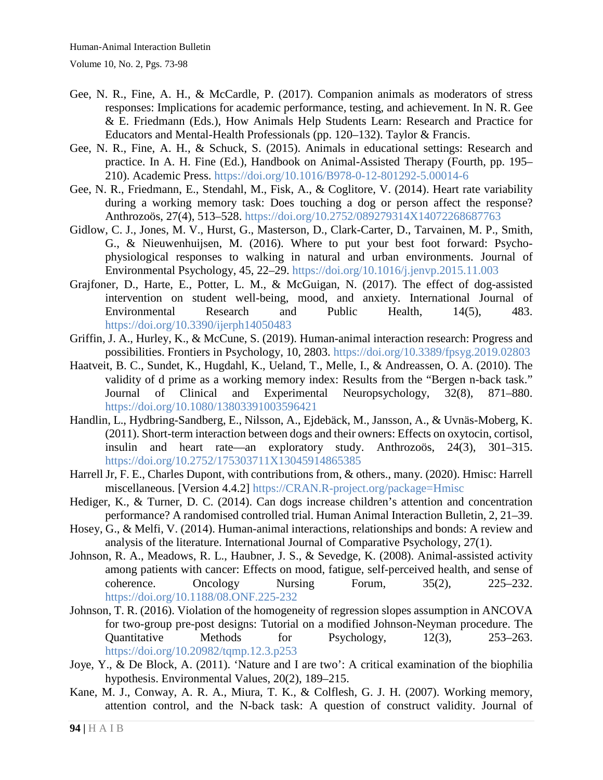- Gee, N. R., Fine, A. H., & McCardle, P. (2017). Companion animals as moderators of stress responses: Implications for academic performance, testing, and achievement. In N. R. Gee & E. Friedmann (Eds.), How Animals Help Students Learn: Research and Practice for Educators and Mental-Health Professionals (pp. 120–132). Taylor & Francis.
- Gee, N. R., Fine, A. H., & Schuck, S. (2015). Animals in educational settings: Research and practice. In A. H. Fine (Ed.), Handbook on Animal-Assisted Therapy (Fourth, pp. 195– 210). Academic Press.<https://doi.org/10.1016/B978-0-12-801292-5.00014-6>
- Gee, N. R., Friedmann, E., Stendahl, M., Fisk, A., & Coglitore, V. (2014). Heart rate variability during a working memory task: Does touching a dog or person affect the response? Anthrozoös, 27(4), 513–528.<https://doi.org/10.2752/089279314X14072268687763>
- Gidlow, C. J., Jones, M. V., Hurst, G., Masterson, D., Clark-Carter, D., Tarvainen, M. P., Smith, G., & Nieuwenhuijsen, M. (2016). Where to put your best foot forward: Psychophysiological responses to walking in natural and urban environments. Journal of Environmental Psychology, 45, 22–29.<https://doi.org/10.1016/j.jenvp.2015.11.003>
- Grajfoner, D., Harte, E., Potter, L. M., & McGuigan, N. (2017). The effect of dog-assisted intervention on student well-being, mood, and anxiety. International Journal of Environmental Research and Public Health, 14(5), 483. <https://doi.org/10.3390/ijerph14050483>
- Griffin, J. A., Hurley, K., & McCune, S. (2019). Human-animal interaction research: Progress and possibilities. Frontiers in Psychology, 10, 2803.<https://doi.org/10.3389/fpsyg.2019.02803>
- Haatveit, B. C., Sundet, K., Hugdahl, K., Ueland, T., Melle, I., & Andreassen, O. A. (2010). The validity of d prime as a working memory index: Results from the "Bergen n-back task." Journal of Clinical and Experimental Neuropsychology, 32(8), 871–880. <https://doi.org/10.1080/13803391003596421>
- Handlin, L., Hydbring-Sandberg, E., Nilsson, A., Ejdebäck, M., Jansson, A., & Uvnäs-Moberg, K. (2011). Short-term interaction between dogs and their owners: Effects on oxytocin, cortisol, insulin and heart rate—an exploratory study. Anthrozoös, 24(3), 301–315. <https://doi.org/10.2752/175303711X13045914865385>
- Harrell Jr, F. E., Charles Dupont, with contributions from, & others., many. (2020). Hmisc: Harrell miscellaneous. [Version 4.4.2] [https://CRAN.R-project.org/package=Hmisc](https://cran.r-project.org/package=Hmisc)
- Hediger, K., & Turner, D. C. (2014). Can dogs increase children's attention and concentration performance? A randomised controlled trial. Human Animal Interaction Bulletin, 2, 21–39.
- Hosey, G., & Melfi, V. (2014). Human-animal interactions, relationships and bonds: A review and analysis of the literature. International Journal of Comparative Psychology, 27(1).
- Johnson, R. A., Meadows, R. L., Haubner, J. S., & Sevedge, K. (2008). Animal-assisted activity among patients with cancer: Effects on mood, fatigue, self-perceived health, and sense of coherence. Oncology Nursing Forum, 35(2), 225–232. <https://doi.org/10.1188/08.ONF.225-232>
- Johnson, T. R. (2016). Violation of the homogeneity of regression slopes assumption in ANCOVA for two-group pre-post designs: Tutorial on a modified Johnson-Neyman procedure. The Quantitative Methods for Psychology, 12(3), 253–263. <https://doi.org/10.20982/tqmp.12.3.p253>
- Joye, Y., & De Block, A. (2011). 'Nature and I are two': A critical examination of the biophilia hypothesis. Environmental Values, 20(2), 189–215.
- Kane, M. J., Conway, A. R. A., Miura, T. K., & Colflesh, G. J. H. (2007). Working memory, attention control, and the N-back task: A question of construct validity. Journal of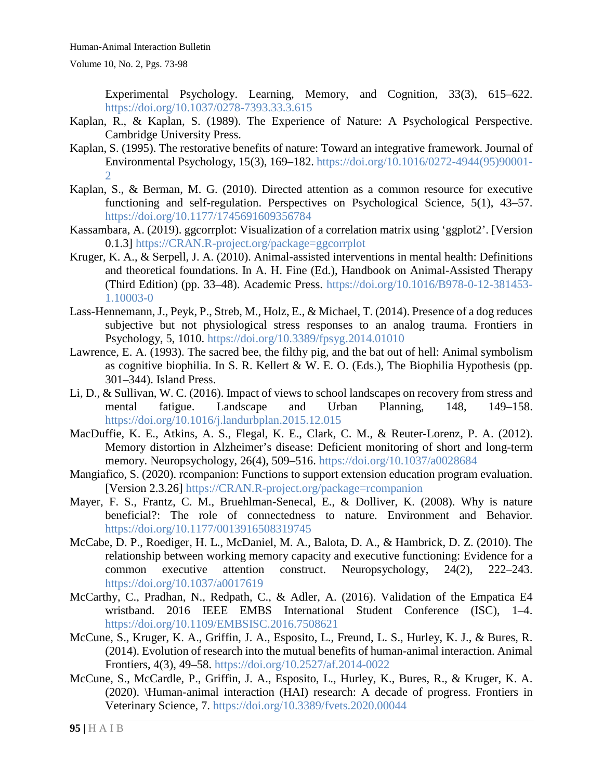Experimental Psychology. Learning, Memory, and Cognition, 33(3), 615–622. <https://doi.org/10.1037/0278-7393.33.3.615>

- Kaplan, R., & Kaplan, S. (1989). The Experience of Nature: A Psychological Perspective. Cambridge University Press.
- Kaplan, S. (1995). The restorative benefits of nature: Toward an integrative framework. Journal of Environmental Psychology, 15(3), 169–182. [https://doi.org/10.1016/0272-4944\(95\)90001-](https://doi.org/10.1016/0272-4944(95)90001-2) [2](https://doi.org/10.1016/0272-4944(95)90001-2)
- Kaplan, S., & Berman, M. G. (2010). Directed attention as a common resource for executive functioning and self-regulation. Perspectives on Psychological Science, 5(1), 43–57. <https://doi.org/10.1177/1745691609356784>
- Kassambara, A. (2019). ggcorrplot: Visualization of a correlation matrix using 'ggplot2'. [Version 0.1.3] [https://CRAN.R-project.org/package=ggcorrplot](https://cran.r-project.org/package=ggcorrplot)
- Kruger, K. A., & Serpell, J. A. (2010). Animal-assisted interventions in mental health: Definitions and theoretical foundations. In A. H. Fine (Ed.), Handbook on Animal-Assisted Therapy (Third Edition) (pp. 33–48). Academic Press. [https://doi.org/10.1016/B978-0-12-381453-](https://doi.org/10.1016/B978-0-12-381453-1.10003-0) [1.10003-0](https://doi.org/10.1016/B978-0-12-381453-1.10003-0)
- Lass-Hennemann, J., Peyk, P., Streb, M., Holz, E., & Michael, T. (2014). Presence of a dog reduces subjective but not physiological stress responses to an analog trauma. Frontiers in Psychology, 5, 1010.<https://doi.org/10.3389/fpsyg.2014.01010>
- Lawrence, E. A. (1993). The sacred bee, the filthy pig, and the bat out of hell: Animal symbolism as cognitive biophilia. In S. R. Kellert & W. E. O. (Eds.), The Biophilia Hypothesis (pp. 301–344). Island Press.
- Li, D., & Sullivan, W. C. (2016). Impact of views to school landscapes on recovery from stress and mental fatigue. Landscape and Urban Planning, 148, 149–158. <https://doi.org/10.1016/j.landurbplan.2015.12.015>
- MacDuffie, K. E., Atkins, A. S., Flegal, K. E., Clark, C. M., & Reuter-Lorenz, P. A. (2012). Memory distortion in Alzheimer's disease: Deficient monitoring of short and long-term memory. Neuropsychology, 26(4), 509–516.<https://doi.org/10.1037/a0028684>
- Mangiafico, S. (2020). rcompanion: Functions to support extension education program evaluation. [Version 2.3.26] [https://CRAN.R-project.org/package=rcompanion](https://cran.r-project.org/package=rcompanion)
- Mayer, F. S., Frantz, C. M., Bruehlman-Senecal, E., & Dolliver, K. (2008). Why is nature beneficial?: The role of connectedness to nature. Environment and Behavior. <https://doi.org/10.1177/0013916508319745>
- McCabe, D. P., Roediger, H. L., McDaniel, M. A., Balota, D. A., & Hambrick, D. Z. (2010). The relationship between working memory capacity and executive functioning: Evidence for a common executive attention construct. Neuropsychology, 24(2), 222–243. <https://doi.org/10.1037/a0017619>
- McCarthy, C., Pradhan, N., Redpath, C., & Adler, A. (2016). Validation of the Empatica E4 wristband. 2016 IEEE EMBS International Student Conference (ISC), 1–4. <https://doi.org/10.1109/EMBSISC.2016.7508621>
- McCune, S., Kruger, K. A., Griffin, J. A., Esposito, L., Freund, L. S., Hurley, K. J., & Bures, R. (2014). Evolution of research into the mutual benefits of human-animal interaction. Animal Frontiers, 4(3), 49–58.<https://doi.org/10.2527/af.2014-0022>
- McCune, S., McCardle, P., Griffin, J. A., Esposito, L., Hurley, K., Bures, R., & Kruger, K. A. (2020). \Human-animal interaction (HAI) research: A decade of progress. Frontiers in Veterinary Science, 7.<https://doi.org/10.3389/fvets.2020.00044>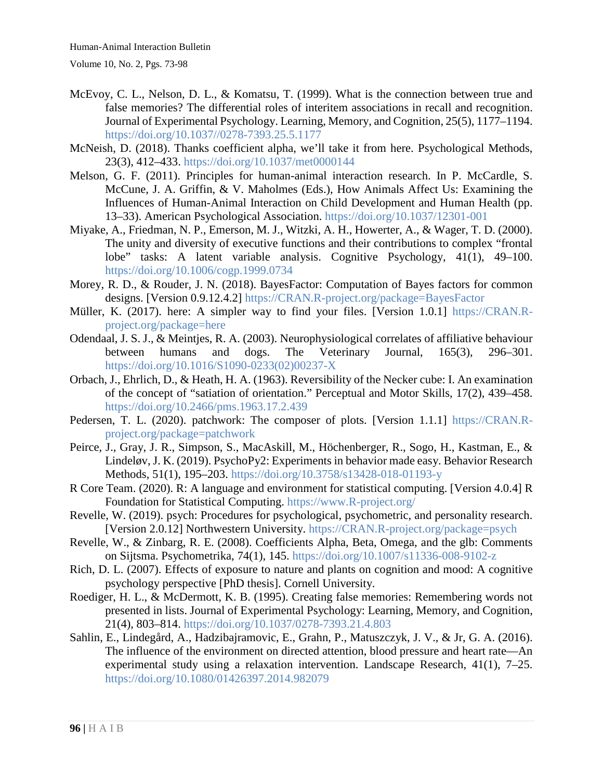- McEvoy, C. L., Nelson, D. L., & Komatsu, T. (1999). What is the connection between true and false memories? The differential roles of interitem associations in recall and recognition. Journal of Experimental Psychology. Learning, Memory, and Cognition, 25(5), 1177–1194. [https://doi.org/10.1037//0278-7393.25.5.1177](https://doi.org/10.1037/0278-7393.25.5.1177)
- McNeish, D. (2018). Thanks coefficient alpha, we'll take it from here. Psychological Methods, 23(3), 412–433.<https://doi.org/10.1037/met0000144>
- Melson, G. F. (2011). Principles for human-animal interaction research. In P. McCardle, S. McCune, J. A. Griffin, & V. Maholmes (Eds.), How Animals Affect Us: Examining the Influences of Human-Animal Interaction on Child Development and Human Health (pp. 13–33). American Psychological Association.<https://doi.org/10.1037/12301-001>
- Miyake, A., Friedman, N. P., Emerson, M. J., Witzki, A. H., Howerter, A., & Wager, T. D. (2000). The unity and diversity of executive functions and their contributions to complex "frontal lobe" tasks: A latent variable analysis. Cognitive Psychology, 41(1), 49–100. <https://doi.org/10.1006/cogp.1999.0734>
- Morey, R. D., & Rouder, J. N. (2018). BayesFactor: Computation of Bayes factors for common designs. [Version 0.9.12.4.2] [https://CRAN.R-project.org/package=BayesFactor](https://cran.r-project.org/package=BayesFactor)
- Müller, K. (2017). here: A simpler way to find your files. [Version 1.0.1] [https://CRAN.R](https://cran.r-project.org/package=here)[project.org/package=here](https://cran.r-project.org/package=here)
- Odendaal, J. S. J., & Meintjes, R. A. (2003). Neurophysiological correlates of affiliative behaviour between humans and dogs. The Veterinary Journal, 165(3), 296–301. [https://doi.org/10.1016/S1090-0233\(02\)00237-X](https://doi.org/10.1016/S1090-0233(02)00237-X)
- Orbach, J., Ehrlich, D., & Heath, H. A. (1963). Reversibility of the Necker cube: I. An examination of the concept of "satiation of orientation." Perceptual and Motor Skills, 17(2), 439–458. <https://doi.org/10.2466/pms.1963.17.2.439>
- Pedersen, T. L. (2020). patchwork: The composer of plots. [Version 1.1.1] [https://CRAN.R](https://cran.r-project.org/package=patchwork)[project.org/package=patchwork](https://cran.r-project.org/package=patchwork)
- Peirce, J., Gray, J. R., Simpson, S., MacAskill, M., Höchenberger, R., Sogo, H., Kastman, E., & Lindeløv, J. K. (2019). PsychoPy2: Experiments in behavior made easy. Behavior Research Methods, 51(1), 195–203.<https://doi.org/10.3758/s13428-018-01193-y>
- R Core Team. (2020). R: A language and environment for statistical computing. [Version 4.0.4] R Foundation for Statistical Computing. [https://www.R-project.org/](https://www.r-project.org/)
- Revelle, W. (2019). psych: Procedures for psychological, psychometric, and personality research. [Version 2.0.12] Northwestern University. [https://CRAN.R-project.org/package=psych](https://cran.r-project.org/package=psych)
- Revelle, W., & Zinbarg, R. E. (2008). Coefficients Alpha, Beta, Omega, and the glb: Comments on Sijtsma. Psychometrika, 74(1), 145.<https://doi.org/10.1007/s11336-008-9102-z>
- Rich, D. L. (2007). Effects of exposure to nature and plants on cognition and mood: A cognitive psychology perspective [PhD thesis]. Cornell University.
- Roediger, H. L., & McDermott, K. B. (1995). Creating false memories: Remembering words not presented in lists. Journal of Experimental Psychology: Learning, Memory, and Cognition, 21(4), 803–814.<https://doi.org/10.1037/0278-7393.21.4.803>
- Sahlin, E., Lindegård, A., Hadzibajramovic, E., Grahn, P., Matuszczyk, J. V., & Jr, G. A. (2016). The influence of the environment on directed attention, blood pressure and heart rate—An experimental study using a relaxation intervention. Landscape Research, 41(1), 7–25. <https://doi.org/10.1080/01426397.2014.982079>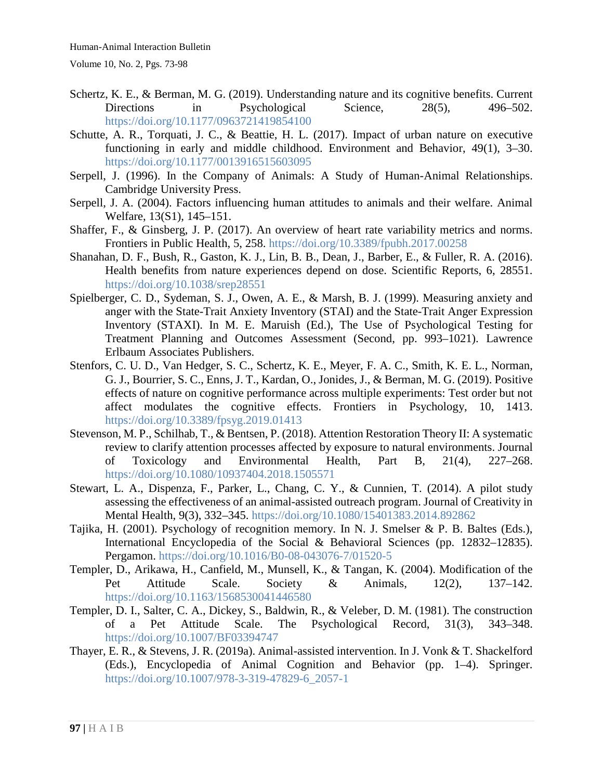- Schertz, K. E., & Berman, M. G. (2019). Understanding nature and its cognitive benefits. Current Directions in Psychological Science, 28(5), 496–502. <https://doi.org/10.1177/0963721419854100>
- Schutte, A. R., Torquati, J. C., & Beattie, H. L. (2017). Impact of urban nature on executive functioning in early and middle childhood. Environment and Behavior, 49(1), 3–30. <https://doi.org/10.1177/0013916515603095>
- Serpell, J. (1996). In the Company of Animals: A Study of Human-Animal Relationships. Cambridge University Press.
- Serpell, J. A. (2004). Factors influencing human attitudes to animals and their welfare. Animal Welfare, 13(S1), 145–151.
- Shaffer, F., & Ginsberg, J. P. (2017). An overview of heart rate variability metrics and norms. Frontiers in Public Health, 5, 258.<https://doi.org/10.3389/fpubh.2017.00258>
- Shanahan, D. F., Bush, R., Gaston, K. J., Lin, B. B., Dean, J., Barber, E., & Fuller, R. A. (2016). Health benefits from nature experiences depend on dose. Scientific Reports, 6, 28551. <https://doi.org/10.1038/srep28551>
- Spielberger, C. D., Sydeman, S. J., Owen, A. E., & Marsh, B. J. (1999). Measuring anxiety and anger with the State-Trait Anxiety Inventory (STAI) and the State-Trait Anger Expression Inventory (STAXI). In M. E. Maruish (Ed.), The Use of Psychological Testing for Treatment Planning and Outcomes Assessment (Second, pp. 993–1021). Lawrence Erlbaum Associates Publishers.
- Stenfors, C. U. D., Van Hedger, S. C., Schertz, K. E., Meyer, F. A. C., Smith, K. E. L., Norman, G. J., Bourrier, S. C., Enns, J. T., Kardan, O., Jonides, J., & Berman, M. G. (2019). Positive effects of nature on cognitive performance across multiple experiments: Test order but not affect modulates the cognitive effects. Frontiers in Psychology, 10, 1413. <https://doi.org/10.3389/fpsyg.2019.01413>
- Stevenson, M. P., Schilhab, T., & Bentsen, P. (2018). Attention Restoration Theory II: A systematic review to clarify attention processes affected by exposure to natural environments. Journal of Toxicology and Environmental Health, Part B, 21(4), 227–268. <https://doi.org/10.1080/10937404.2018.1505571>
- Stewart, L. A., Dispenza, F., Parker, L., Chang, C. Y., & Cunnien, T. (2014). A pilot study assessing the effectiveness of an animal-assisted outreach program. Journal of Creativity in Mental Health, 9(3), 332–345.<https://doi.org/10.1080/15401383.2014.892862>
- Tajika, H. (2001). Psychology of recognition memory. In N. J. Smelser & P. B. Baltes (Eds.), International Encyclopedia of the Social & Behavioral Sciences (pp. 12832–12835). Pergamon.<https://doi.org/10.1016/B0-08-043076-7/01520-5>
- Templer, D., Arikawa, H., Canfield, M., Munsell, K., & Tangan, K. (2004). Modification of the Pet Attitude Scale. Society & Animals, 12(2), 137–142. <https://doi.org/10.1163/1568530041446580>
- Templer, D. I., Salter, C. A., Dickey, S., Baldwin, R., & Veleber, D. M. (1981). The construction of a Pet Attitude Scale. The Psychological Record, 31(3), 343–348. <https://doi.org/10.1007/BF03394747>
- Thayer, E. R., & Stevens, J. R. (2019a). Animal-assisted intervention. In J. Vonk & T. Shackelford (Eds.), Encyclopedia of Animal Cognition and Behavior (pp. 1–4). Springer. [https://doi.org/10.1007/978-3-319-47829-6\\_2057-1](https://doi.org/10.1007/978-3-319-47829-6_2057-1)